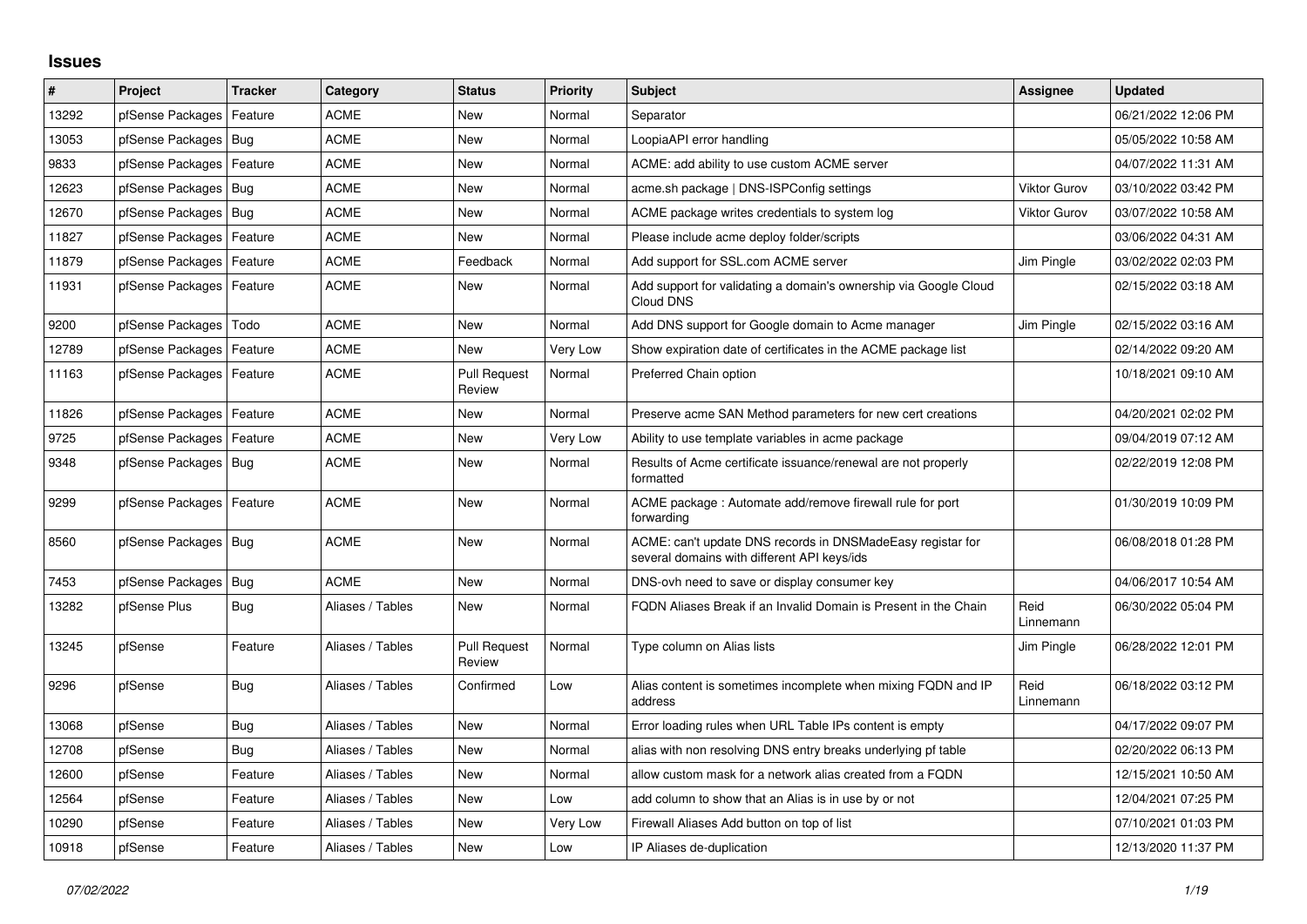## **Issues**

| #     | Project                    | <b>Tracker</b> | Category         | <b>Status</b>                 | <b>Priority</b> | <b>Subject</b>                                                                                            | Assignee            | Updated             |
|-------|----------------------------|----------------|------------------|-------------------------------|-----------------|-----------------------------------------------------------------------------------------------------------|---------------------|---------------------|
| 13292 | pfSense Packages           | Feature        | <b>ACME</b>      | <b>New</b>                    | Normal          | Separator                                                                                                 |                     | 06/21/2022 12:06 PM |
| 13053 | pfSense Packages           | Bug            | <b>ACME</b>      | <b>New</b>                    | Normal          | LoopiaAPI error handling                                                                                  |                     | 05/05/2022 10:58 AM |
| 9833  | pfSense Packages           | Feature        | <b>ACME</b>      | <b>New</b>                    | Normal          | ACME: add ability to use custom ACME server                                                               |                     | 04/07/2022 11:31 AM |
| 12623 | pfSense Packages           | Bug            | <b>ACME</b>      | <b>New</b>                    | Normal          | acme.sh package   DNS-ISPConfig settings                                                                  | <b>Viktor Gurov</b> | 03/10/2022 03:42 PM |
| 12670 | pfSense Packages   Bug     |                | <b>ACME</b>      | <b>New</b>                    | Normal          | ACME package writes credentials to system log                                                             | <b>Viktor Gurov</b> | 03/07/2022 10:58 AM |
| 11827 | pfSense Packages   Feature |                | <b>ACME</b>      | New                           | Normal          | Please include acme deploy folder/scripts                                                                 |                     | 03/06/2022 04:31 AM |
| 11879 | pfSense Packages           | Feature        | <b>ACME</b>      | Feedback                      | Normal          | Add support for SSL.com ACME server                                                                       | Jim Pingle          | 03/02/2022 02:03 PM |
| 11931 | pfSense Packages   Feature |                | ACME             | <b>New</b>                    | Normal          | Add support for validating a domain's ownership via Google Cloud<br>Cloud DNS                             |                     | 02/15/2022 03:18 AM |
| 9200  | pfSense Packages           | Todo           | <b>ACME</b>      | <b>New</b>                    | Normal          | Add DNS support for Google domain to Acme manager                                                         | Jim Pingle          | 02/15/2022 03:16 AM |
| 12789 | pfSense Packages           | Feature        | <b>ACME</b>      | <b>New</b>                    | Very Low        | Show expiration date of certificates in the ACME package list                                             |                     | 02/14/2022 09:20 AM |
| 11163 | pfSense Packages           | Feature        | <b>ACME</b>      | <b>Pull Request</b><br>Review | Normal          | Preferred Chain option                                                                                    |                     | 10/18/2021 09:10 AM |
| 11826 | pfSense Packages           | Feature        | <b>ACME</b>      | New                           | Normal          | Preserve acme SAN Method parameters for new cert creations                                                |                     | 04/20/2021 02:02 PM |
| 9725  | pfSense Packages           | Feature        | <b>ACME</b>      | <b>New</b>                    | Very Low        | Ability to use template variables in acme package                                                         |                     | 09/04/2019 07:12 AM |
| 9348  | pfSense Packages   Bug     |                | <b>ACME</b>      | <b>New</b>                    | Normal          | Results of Acme certificate issuance/renewal are not properly<br>formatted                                |                     | 02/22/2019 12:08 PM |
| 9299  | pfSense Packages   Feature |                | <b>ACME</b>      | <b>New</b>                    | Normal          | ACME package: Automate add/remove firewall rule for port<br>forwarding                                    |                     | 01/30/2019 10:09 PM |
| 8560  | pfSense Packages   Bug     |                | <b>ACME</b>      | <b>New</b>                    | Normal          | ACME: can't update DNS records in DNSMadeEasy registar for<br>several domains with different API keys/ids |                     | 06/08/2018 01:28 PM |
| 7453  | pfSense Packages           | Bug            | <b>ACME</b>      | <b>New</b>                    | Normal          | DNS-ovh need to save or display consumer key                                                              |                     | 04/06/2017 10:54 AM |
| 13282 | pfSense Plus               | Bug            | Aliases / Tables | New                           | Normal          | FQDN Aliases Break if an Invalid Domain is Present in the Chain                                           | Reid<br>Linnemann   | 06/30/2022 05:04 PM |
| 13245 | pfSense                    | Feature        | Aliases / Tables | <b>Pull Request</b><br>Review | Normal          | Type column on Alias lists                                                                                | Jim Pingle          | 06/28/2022 12:01 PM |
| 9296  | pfSense                    | <b>Bug</b>     | Aliases / Tables | Confirmed                     | Low             | Alias content is sometimes incomplete when mixing FQDN and IP<br>address                                  | Reid<br>Linnemann   | 06/18/2022 03:12 PM |
| 13068 | pfSense                    | Bug            | Aliases / Tables | <b>New</b>                    | Normal          | Error loading rules when URL Table IPs content is empty                                                   |                     | 04/17/2022 09:07 PM |
| 12708 | pfSense                    | <b>Bug</b>     | Aliases / Tables | <b>New</b>                    | Normal          | alias with non resolving DNS entry breaks underlying pf table                                             |                     | 02/20/2022 06:13 PM |
| 12600 | pfSense                    | Feature        | Aliases / Tables | <b>New</b>                    | Normal          | allow custom mask for a network alias created from a FQDN                                                 |                     | 12/15/2021 10:50 AM |
| 12564 | pfSense                    | Feature        | Aliases / Tables | <b>New</b>                    | Low             | add column to show that an Alias is in use by or not                                                      |                     | 12/04/2021 07:25 PM |
| 10290 | pfSense                    | Feature        | Aliases / Tables | <b>New</b>                    | Very Low        | Firewall Aliases Add button on top of list                                                                |                     | 07/10/2021 01:03 PM |
| 10918 | pfSense                    | Feature        | Aliases / Tables | <b>New</b>                    | Low             | IP Aliases de-duplication                                                                                 |                     | 12/13/2020 11:37 PM |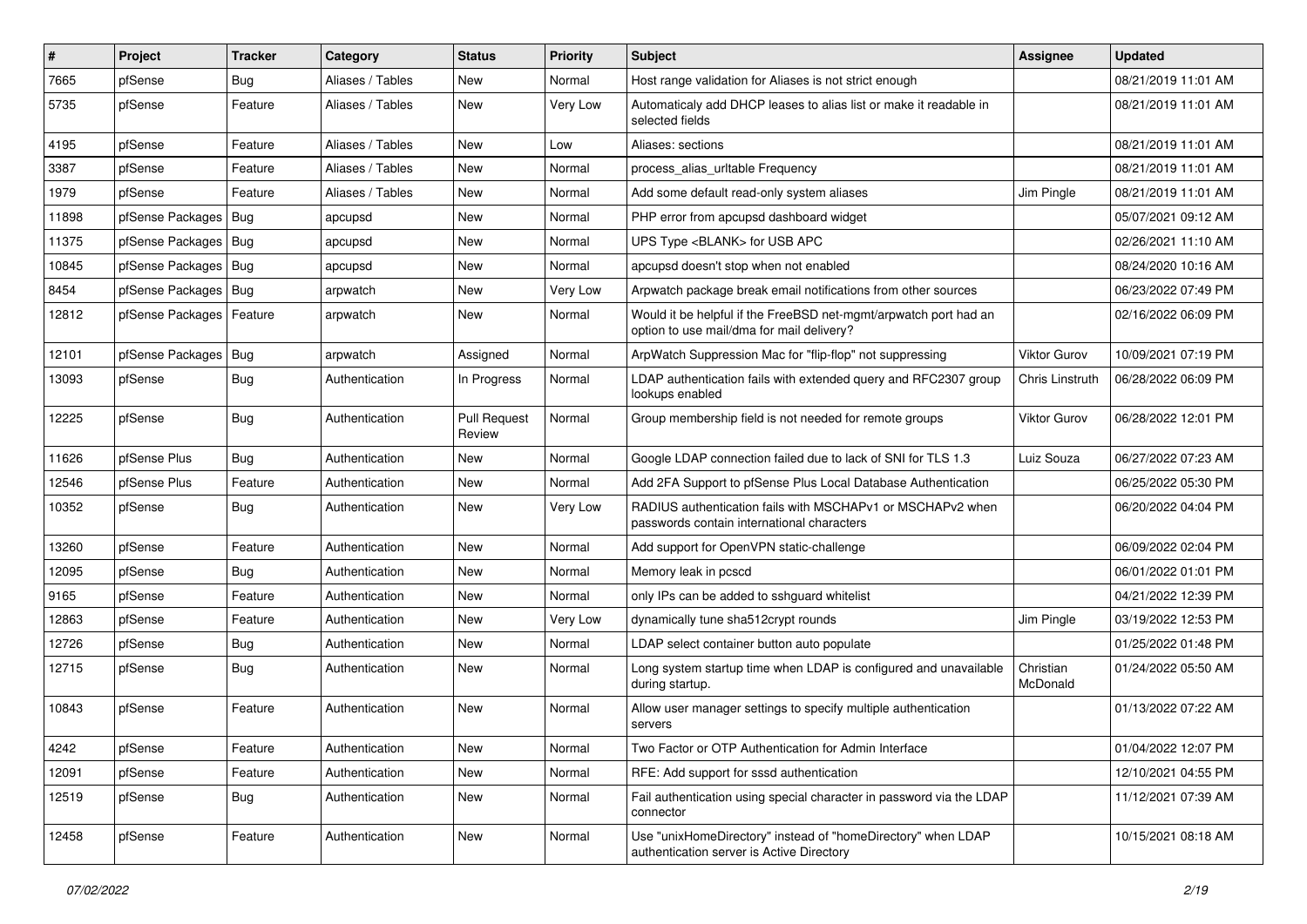| $\vert$ # | Project          | <b>Tracker</b> | Category         | <b>Status</b>          | <b>Priority</b> | <b>Subject</b>                                                                                                | Assignee              | <b>Updated</b>      |
|-----------|------------------|----------------|------------------|------------------------|-----------------|---------------------------------------------------------------------------------------------------------------|-----------------------|---------------------|
| 7665      | pfSense          | <b>Bug</b>     | Aliases / Tables | New                    | Normal          | Host range validation for Aliases is not strict enough                                                        |                       | 08/21/2019 11:01 AM |
| 5735      | pfSense          | Feature        | Aliases / Tables | New                    | Very Low        | Automaticaly add DHCP leases to alias list or make it readable in<br>selected fields                          |                       | 08/21/2019 11:01 AM |
| 4195      | pfSense          | Feature        | Aliases / Tables | <b>New</b>             | Low             | Aliases: sections                                                                                             |                       | 08/21/2019 11:01 AM |
| 3387      | pfSense          | Feature        | Aliases / Tables | New                    | Normal          | process alias urltable Frequency                                                                              |                       | 08/21/2019 11:01 AM |
| 1979      | pfSense          | Feature        | Aliases / Tables | <b>New</b>             | Normal          | Add some default read-only system aliases                                                                     | Jim Pingle            | 08/21/2019 11:01 AM |
| 11898     | pfSense Packages | Bug            | apcupsd          | New                    | Normal          | PHP error from apcupsd dashboard widget                                                                       |                       | 05/07/2021 09:12 AM |
| 11375     | pfSense Packages | Bug            | apcupsd          | New                    | Normal          | UPS Type <blank> for USB APC</blank>                                                                          |                       | 02/26/2021 11:10 AM |
| 10845     | pfSense Packages | Bug            | apcupsd          | New                    | Normal          | apcupsd doesn't stop when not enabled                                                                         |                       | 08/24/2020 10:16 AM |
| 8454      | pfSense Packages | <b>Bug</b>     | arpwatch         | New                    | Very Low        | Arpwatch package break email notifications from other sources                                                 |                       | 06/23/2022 07:49 PM |
| 12812     | pfSense Packages | Feature        | arpwatch         | New                    | Normal          | Would it be helpful if the FreeBSD net-mgmt/arpwatch port had an<br>option to use mail/dma for mail delivery? |                       | 02/16/2022 06:09 PM |
| 12101     | pfSense Packages | Bug            | arpwatch         | Assigned               | Normal          | ArpWatch Suppression Mac for "flip-flop" not suppressing                                                      | Viktor Gurov          | 10/09/2021 07:19 PM |
| 13093     | pfSense          | Bug            | Authentication   | In Progress            | Normal          | LDAP authentication fails with extended query and RFC2307 group<br>lookups enabled                            | Chris Linstruth       | 06/28/2022 06:09 PM |
| 12225     | pfSense          | <b>Bug</b>     | Authentication   | Pull Request<br>Review | Normal          | Group membership field is not needed for remote groups                                                        | Viktor Gurov          | 06/28/2022 12:01 PM |
| 11626     | pfSense Plus     | <b>Bug</b>     | Authentication   | <b>New</b>             | Normal          | Google LDAP connection failed due to lack of SNI for TLS 1.3                                                  | Luiz Souza            | 06/27/2022 07:23 AM |
| 12546     | pfSense Plus     | Feature        | Authentication   | New                    | Normal          | Add 2FA Support to pfSense Plus Local Database Authentication                                                 |                       | 06/25/2022 05:30 PM |
| 10352     | pfSense          | <b>Bug</b>     | Authentication   | New                    | Very Low        | RADIUS authentication fails with MSCHAPv1 or MSCHAPv2 when<br>passwords contain international characters      |                       | 06/20/2022 04:04 PM |
| 13260     | pfSense          | Feature        | Authentication   | <b>New</b>             | Normal          | Add support for OpenVPN static-challenge                                                                      |                       | 06/09/2022 02:04 PM |
| 12095     | pfSense          | Bug            | Authentication   | New                    | Normal          | Memory leak in pcscd                                                                                          |                       | 06/01/2022 01:01 PM |
| 9165      | pfSense          | Feature        | Authentication   | <b>New</b>             | Normal          | only IPs can be added to sshguard whitelist                                                                   |                       | 04/21/2022 12:39 PM |
| 12863     | pfSense          | Feature        | Authentication   | New                    | Very Low        | dynamically tune sha512crypt rounds                                                                           | Jim Pingle            | 03/19/2022 12:53 PM |
| 12726     | pfSense          | Bug            | Authentication   | New                    | Normal          | LDAP select container button auto populate                                                                    |                       | 01/25/2022 01:48 PM |
| 12715     | pfSense          | Bug            | Authentication   | New                    | Normal          | Long system startup time when LDAP is configured and unavailable<br>during startup.                           | Christian<br>McDonald | 01/24/2022 05:50 AM |
| 10843     | pfSense          | Feature        | Authentication   | New                    | Normal          | Allow user manager settings to specify multiple authentication<br>servers                                     |                       | 01/13/2022 07:22 AM |
| 4242      | pfSense          | Feature        | Authentication   | New                    | Normal          | Two Factor or OTP Authentication for Admin Interface                                                          |                       | 01/04/2022 12:07 PM |
| 12091     | pfSense          | Feature        | Authentication   | New                    | Normal          | RFE: Add support for sssd authentication                                                                      |                       | 12/10/2021 04:55 PM |
| 12519     | pfSense          | <b>Bug</b>     | Authentication   | New                    | Normal          | Fail authentication using special character in password via the LDAP<br>connector                             |                       | 11/12/2021 07:39 AM |
| 12458     | pfSense          | Feature        | Authentication   | New                    | Normal          | Use "unixHomeDirectory" instead of "homeDirectory" when LDAP<br>authentication server is Active Directory     |                       | 10/15/2021 08:18 AM |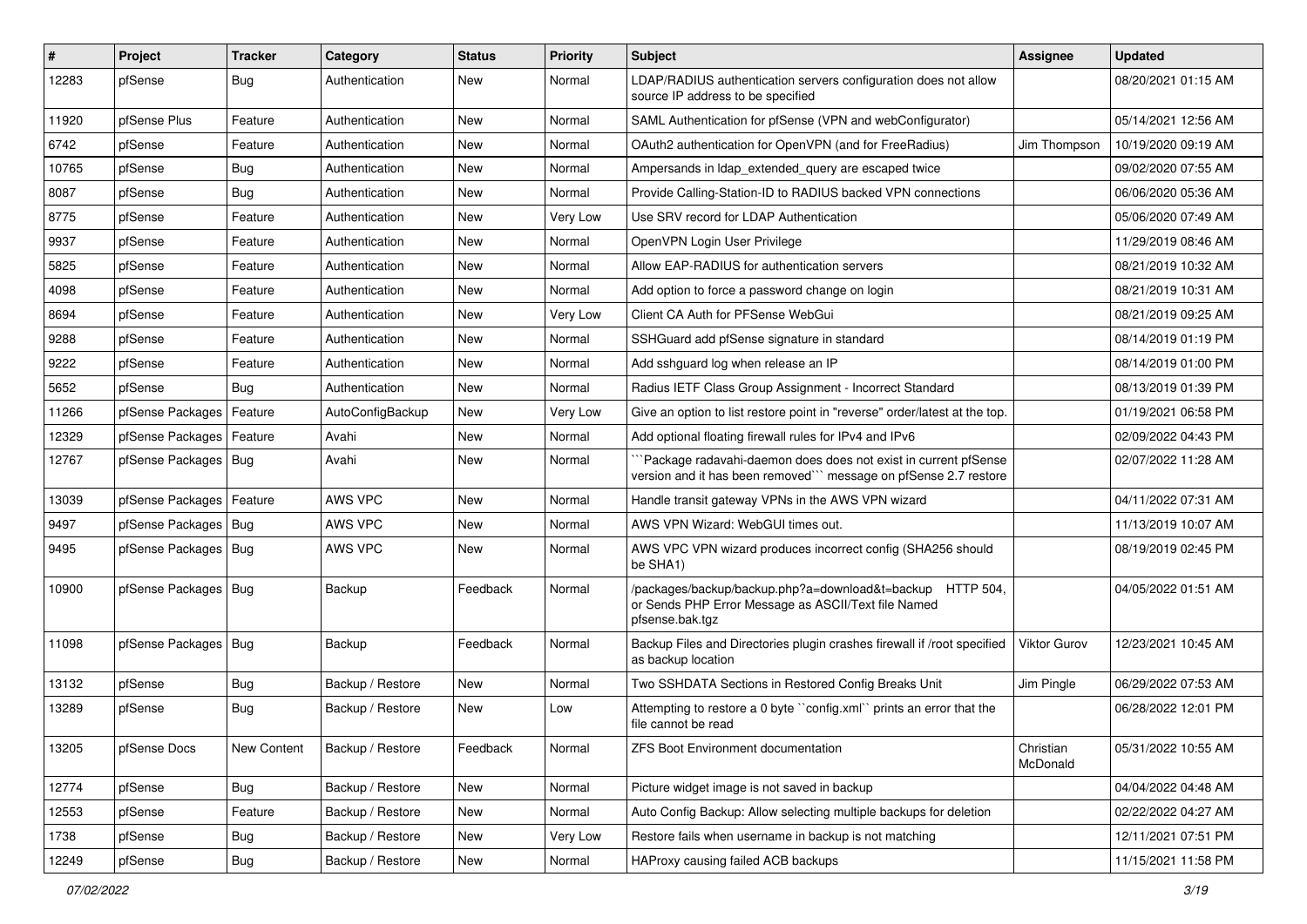| $\vert$ # | Project                    | <b>Tracker</b> | Category         | <b>Status</b> | <b>Priority</b> | Subject                                                                                                                             | <b>Assignee</b>       | <b>Updated</b>      |
|-----------|----------------------------|----------------|------------------|---------------|-----------------|-------------------------------------------------------------------------------------------------------------------------------------|-----------------------|---------------------|
| 12283     | pfSense                    | <b>Bug</b>     | Authentication   | New           | Normal          | LDAP/RADIUS authentication servers configuration does not allow<br>source IP address to be specified                                |                       | 08/20/2021 01:15 AM |
| 11920     | pfSense Plus               | Feature        | Authentication   | <b>New</b>    | Normal          | SAML Authentication for pfSense (VPN and webConfigurator)                                                                           |                       | 05/14/2021 12:56 AM |
| 6742      | pfSense                    | Feature        | Authentication   | New           | Normal          | OAuth2 authentication for OpenVPN (and for FreeRadius)                                                                              | Jim Thompson          | 10/19/2020 09:19 AM |
| 10765     | pfSense                    | <b>Bug</b>     | Authentication   | New           | Normal          | Ampersands in Idap extended query are escaped twice                                                                                 |                       | 09/02/2020 07:55 AM |
| 8087      | pfSense                    | Bug            | Authentication   | <b>New</b>    | Normal          | Provide Calling-Station-ID to RADIUS backed VPN connections                                                                         |                       | 06/06/2020 05:36 AM |
| 8775      | pfSense                    | Feature        | Authentication   | New           | Very Low        | Use SRV record for LDAP Authentication                                                                                              |                       | 05/06/2020 07:49 AM |
| 9937      | pfSense                    | Feature        | Authentication   | <b>New</b>    | Normal          | OpenVPN Login User Privilege                                                                                                        |                       | 11/29/2019 08:46 AM |
| 5825      | pfSense                    | Feature        | Authentication   | New           | Normal          | Allow EAP-RADIUS for authentication servers                                                                                         |                       | 08/21/2019 10:32 AM |
| 4098      | pfSense                    | Feature        | Authentication   | <b>New</b>    | Normal          | Add option to force a password change on login                                                                                      |                       | 08/21/2019 10:31 AM |
| 8694      | pfSense                    | Feature        | Authentication   | New           | Very Low        | Client CA Auth for PFSense WebGui                                                                                                   |                       | 08/21/2019 09:25 AM |
| 9288      | pfSense                    | Feature        | Authentication   | <b>New</b>    | Normal          | SSHGuard add pfSense signature in standard                                                                                          |                       | 08/14/2019 01:19 PM |
| 9222      | pfSense                    | Feature        | Authentication   | New           | Normal          | Add sshguard log when release an IP                                                                                                 |                       | 08/14/2019 01:00 PM |
| 5652      | pfSense                    | Bug            | Authentication   | New           | Normal          | Radius IETF Class Group Assignment - Incorrect Standard                                                                             |                       | 08/13/2019 01:39 PM |
| 11266     | pfSense Packages           | Feature        | AutoConfigBackup | <b>New</b>    | Very Low        | Give an option to list restore point in "reverse" order/latest at the top.                                                          |                       | 01/19/2021 06:58 PM |
| 12329     | pfSense Packages           | Feature        | Avahi            | New           | Normal          | Add optional floating firewall rules for IPv4 and IPv6                                                                              |                       | 02/09/2022 04:43 PM |
| 12767     | pfSense Packages   Bug     |                | Avahi            | New           | Normal          | `Package radavahi-daemon does does not exist in current pfSense<br>version and it has been removed" message on pfSense 2.7 restore  |                       | 02/07/2022 11:28 AM |
| 13039     | pfSense Packages   Feature |                | AWS VPC          | New           | Normal          | Handle transit gateway VPNs in the AWS VPN wizard                                                                                   |                       | 04/11/2022 07:31 AM |
| 9497      | pfSense Packages   Bug     |                | AWS VPC          | New           | Normal          | AWS VPN Wizard: WebGUI times out.                                                                                                   |                       | 11/13/2019 10:07 AM |
| 9495      | pfSense Packages   Bug     |                | AWS VPC          | <b>New</b>    | Normal          | AWS VPC VPN wizard produces incorrect config (SHA256 should<br>be SHA1)                                                             |                       | 08/19/2019 02:45 PM |
| 10900     | pfSense Packages   Bug     |                | Backup           | Feedback      | Normal          | /packages/backup/backup.php?a=download&t=backup HTTP 504,<br>or Sends PHP Error Message as ASCII/Text file Named<br>pfsense.bak.tgz |                       | 04/05/2022 01:51 AM |
| 11098     | pfSense Packages   Bug     |                | Backup           | Feedback      | Normal          | Backup Files and Directories plugin crashes firewall if /root specified<br>as backup location                                       | Viktor Gurov          | 12/23/2021 10:45 AM |
| 13132     | pfSense                    | <b>Bug</b>     | Backup / Restore | New           | Normal          | Two SSHDATA Sections in Restored Config Breaks Unit                                                                                 | Jim Pingle            | 06/29/2022 07:53 AM |
| 13289     | pfSense                    | <b>Bug</b>     | Backup / Restore | New           | Low             | Attempting to restore a 0 byte "config.xml" prints an error that the<br>file cannot be read                                         |                       | 06/28/2022 12:01 PM |
| 13205     | pfSense Docs               | New Content    | Backup / Restore | Feedback      | Normal          | ZFS Boot Environment documentation                                                                                                  | Christian<br>McDonald | 05/31/2022 10:55 AM |
| 12774     | pfSense                    | <b>Bug</b>     | Backup / Restore | New           | Normal          | Picture widget image is not saved in backup                                                                                         |                       | 04/04/2022 04:48 AM |
| 12553     | pfSense                    | Feature        | Backup / Restore | New           | Normal          | Auto Config Backup: Allow selecting multiple backups for deletion                                                                   |                       | 02/22/2022 04:27 AM |
| 1738      | pfSense                    | <b>Bug</b>     | Backup / Restore | New           | Very Low        | Restore fails when username in backup is not matching                                                                               |                       | 12/11/2021 07:51 PM |
| 12249     | pfSense                    | Bug            | Backup / Restore | New           | Normal          | HAProxy causing failed ACB backups                                                                                                  |                       | 11/15/2021 11:58 PM |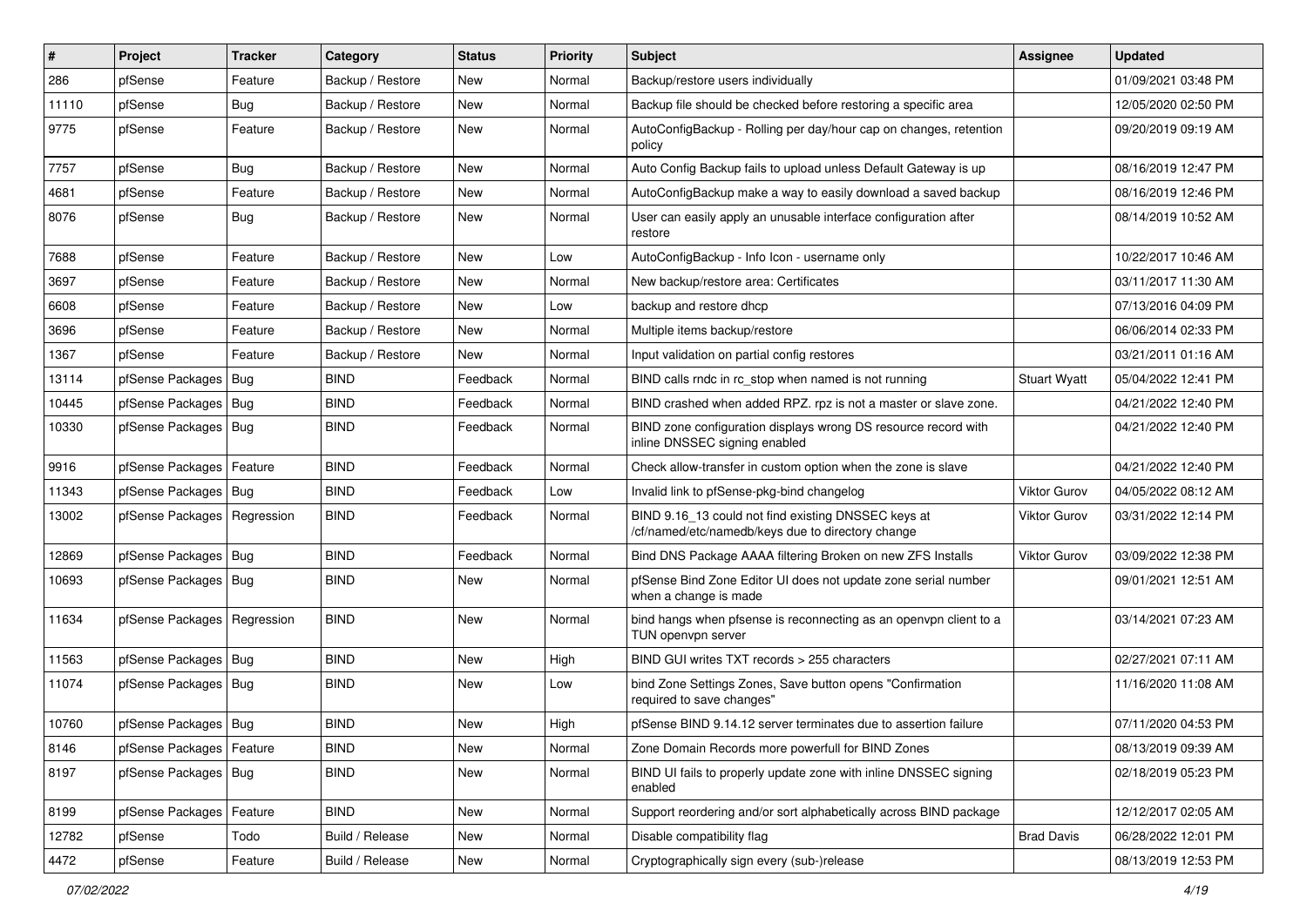| #     | Project                       | <b>Tracker</b> | Category         | <b>Status</b> | <b>Priority</b> | Subject                                                                                                  | <b>Assignee</b>     | <b>Updated</b>      |
|-------|-------------------------------|----------------|------------------|---------------|-----------------|----------------------------------------------------------------------------------------------------------|---------------------|---------------------|
| 286   | pfSense                       | Feature        | Backup / Restore | New           | Normal          | Backup/restore users individually                                                                        |                     | 01/09/2021 03:48 PM |
| 11110 | pfSense                       | Bug            | Backup / Restore | New           | Normal          | Backup file should be checked before restoring a specific area                                           |                     | 12/05/2020 02:50 PM |
| 9775  | pfSense                       | Feature        | Backup / Restore | New           | Normal          | AutoConfigBackup - Rolling per day/hour cap on changes, retention<br>policy                              |                     | 09/20/2019 09:19 AM |
| 7757  | pfSense                       | <b>Bug</b>     | Backup / Restore | <b>New</b>    | Normal          | Auto Config Backup fails to upload unless Default Gateway is up                                          |                     | 08/16/2019 12:47 PM |
| 4681  | pfSense                       | Feature        | Backup / Restore | New           | Normal          | AutoConfigBackup make a way to easily download a saved backup                                            |                     | 08/16/2019 12:46 PM |
| 8076  | pfSense                       | Bug            | Backup / Restore | New           | Normal          | User can easily apply an unusable interface configuration after<br>restore                               |                     | 08/14/2019 10:52 AM |
| 7688  | pfSense                       | Feature        | Backup / Restore | <b>New</b>    | Low             | AutoConfigBackup - Info Icon - username only                                                             |                     | 10/22/2017 10:46 AM |
| 3697  | pfSense                       | Feature        | Backup / Restore | New           | Normal          | New backup/restore area: Certificates                                                                    |                     | 03/11/2017 11:30 AM |
| 6608  | pfSense                       | Feature        | Backup / Restore | New           | Low             | backup and restore dhcp                                                                                  |                     | 07/13/2016 04:09 PM |
| 3696  | pfSense                       | Feature        | Backup / Restore | <b>New</b>    | Normal          | Multiple items backup/restore                                                                            |                     | 06/06/2014 02:33 PM |
| 1367  | pfSense                       | Feature        | Backup / Restore | <b>New</b>    | Normal          | Input validation on partial config restores                                                              |                     | 03/21/2011 01:16 AM |
| 13114 | pfSense Packages              | Bug            | <b>BIND</b>      | Feedback      | Normal          | BIND calls rndc in rc stop when named is not running                                                     | <b>Stuart Wyatt</b> | 05/04/2022 12:41 PM |
| 10445 | pfSense Packages   Bug        |                | <b>BIND</b>      | Feedback      | Normal          | BIND crashed when added RPZ, rpz is not a master or slave zone.                                          |                     | 04/21/2022 12:40 PM |
| 10330 | pfSense Packages   Bug        |                | <b>BIND</b>      | Feedback      | Normal          | BIND zone configuration displays wrong DS resource record with<br>inline DNSSEC signing enabled          |                     | 04/21/2022 12:40 PM |
| 9916  | pfSense Packages   Feature    |                | <b>BIND</b>      | Feedback      | Normal          | Check allow-transfer in custom option when the zone is slave                                             |                     | 04/21/2022 12:40 PM |
| 11343 | pfSense Packages   Bug        |                | <b>BIND</b>      | Feedback      | Low             | Invalid link to pfSense-pkg-bind changelog                                                               | <b>Viktor Gurov</b> | 04/05/2022 08:12 AM |
| 13002 | pfSense Packages   Regression |                | <b>BIND</b>      | Feedback      | Normal          | BIND 9.16_13 could not find existing DNSSEC keys at<br>/cf/named/etc/namedb/keys due to directory change | <b>Viktor Gurov</b> | 03/31/2022 12:14 PM |
| 12869 | pfSense Packages   Bug        |                | <b>BIND</b>      | Feedback      | Normal          | Bind DNS Package AAAA filtering Broken on new ZFS Installs                                               | <b>Viktor Gurov</b> | 03/09/2022 12:38 PM |
| 10693 | pfSense Packages   Bug        |                | <b>BIND</b>      | New           | Normal          | pfSense Bind Zone Editor UI does not update zone serial number<br>when a change is made                  |                     | 09/01/2021 12:51 AM |
| 11634 | pfSense Packages   Regression |                | <b>BIND</b>      | New           | Normal          | bind hangs when pfsense is reconnecting as an openypn client to a<br>TUN openvpn server                  |                     | 03/14/2021 07:23 AM |
| 11563 | pfSense Packages   Bug        |                | <b>BIND</b>      | New           | High            | BIND GUI writes TXT records > 255 characters                                                             |                     | 02/27/2021 07:11 AM |
| 11074 | pfSense Packages   Bug        |                | <b>BIND</b>      | New           | Low             | bind Zone Settings Zones, Save button opens "Confirmation<br>required to save changes"                   |                     | 11/16/2020 11:08 AM |
| 10760 | pfSense Packages   Bug        |                | <b>BIND</b>      | <b>New</b>    | High            | pfSense BIND 9.14.12 server terminates due to assertion failure                                          |                     | 07/11/2020 04:53 PM |
| 8146  | pfSense Packages   Feature    |                | <b>BIND</b>      | New           | Normal          | Zone Domain Records more powerfull for BIND Zones                                                        |                     | 08/13/2019 09:39 AM |
| 8197  | pfSense Packages   Bug        |                | <b>BIND</b>      | New           | Normal          | BIND UI fails to properly update zone with inline DNSSEC signing<br>enabled                              |                     | 02/18/2019 05:23 PM |
| 8199  | pfSense Packages   Feature    |                | <b>BIND</b>      | New           | Normal          | Support reordering and/or sort alphabetically across BIND package                                        |                     | 12/12/2017 02:05 AM |
| 12782 | pfSense                       | Todo           | Build / Release  | New           | Normal          | Disable compatibility flag                                                                               | <b>Brad Davis</b>   | 06/28/2022 12:01 PM |
| 4472  | pfSense                       | Feature        | Build / Release  | New           | Normal          | Cryptographically sign every (sub-)release                                                               |                     | 08/13/2019 12:53 PM |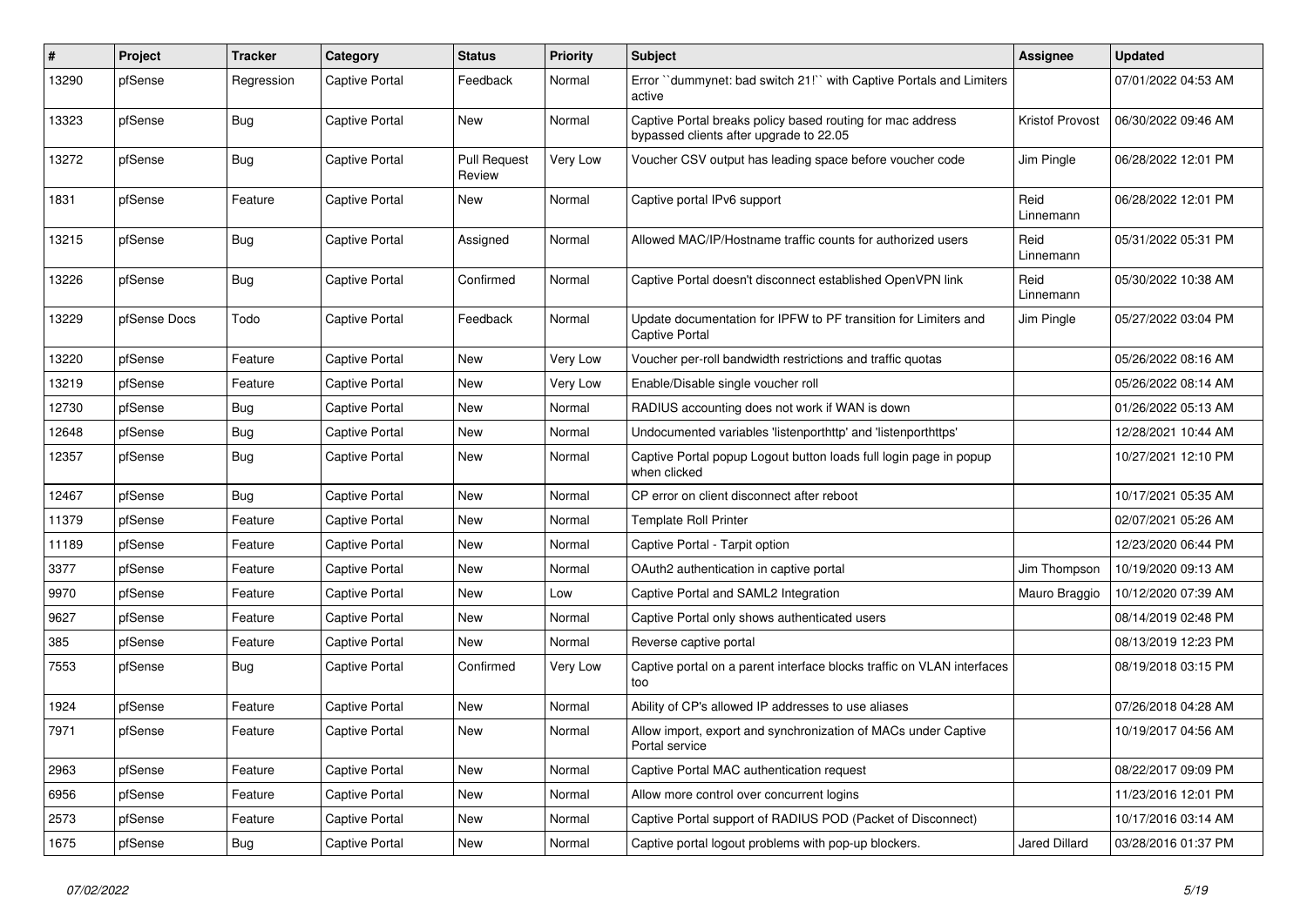| $\vert$ # | Project      | <b>Tracker</b> | Category       | <b>Status</b>                 | Priority | <b>Subject</b>                                                                                        | Assignee             | <b>Updated</b>      |
|-----------|--------------|----------------|----------------|-------------------------------|----------|-------------------------------------------------------------------------------------------------------|----------------------|---------------------|
| 13290     | pfSense      | Regression     | Captive Portal | Feedback                      | Normal   | Error "dummynet: bad switch 21!" with Captive Portals and Limiters<br>active                          |                      | 07/01/2022 04:53 AM |
| 13323     | pfSense      | Bug            | Captive Portal | New                           | Normal   | Captive Portal breaks policy based routing for mac address<br>bypassed clients after upgrade to 22.05 | Kristof Provost      | 06/30/2022 09:46 AM |
| 13272     | pfSense      | <b>Bug</b>     | Captive Portal | <b>Pull Request</b><br>Review | Very Low | Voucher CSV output has leading space before voucher code                                              | Jim Pingle           | 06/28/2022 12:01 PM |
| 1831      | pfSense      | Feature        | Captive Portal | <b>New</b>                    | Normal   | Captive portal IPv6 support                                                                           | Reid<br>Linnemann    | 06/28/2022 12:01 PM |
| 13215     | pfSense      | Bug            | Captive Portal | Assigned                      | Normal   | Allowed MAC/IP/Hostname traffic counts for authorized users                                           | Reid<br>Linnemann    | 05/31/2022 05:31 PM |
| 13226     | pfSense      | <b>Bug</b>     | Captive Portal | Confirmed                     | Normal   | Captive Portal doesn't disconnect established OpenVPN link                                            | Reid<br>Linnemann    | 05/30/2022 10:38 AM |
| 13229     | pfSense Docs | Todo           | Captive Portal | Feedback                      | Normal   | Update documentation for IPFW to PF transition for Limiters and<br>Captive Portal                     | Jim Pingle           | 05/27/2022 03:04 PM |
| 13220     | pfSense      | Feature        | Captive Portal | New                           | Very Low | Voucher per-roll bandwidth restrictions and traffic quotas                                            |                      | 05/26/2022 08:16 AM |
| 13219     | pfSense      | Feature        | Captive Portal | <b>New</b>                    | Very Low | Enable/Disable single voucher roll                                                                    |                      | 05/26/2022 08:14 AM |
| 12730     | pfSense      | Bug            | Captive Portal | <b>New</b>                    | Normal   | RADIUS accounting does not work if WAN is down                                                        |                      | 01/26/2022 05:13 AM |
| 12648     | pfSense      | <b>Bug</b>     | Captive Portal | <b>New</b>                    | Normal   | Undocumented variables 'listenporthttp' and 'listenporthttps'                                         |                      | 12/28/2021 10:44 AM |
| 12357     | pfSense      | <b>Bug</b>     | Captive Portal | <b>New</b>                    | Normal   | Captive Portal popup Logout button loads full login page in popup<br>when clicked                     |                      | 10/27/2021 12:10 PM |
| 12467     | pfSense      | <b>Bug</b>     | Captive Portal | <b>New</b>                    | Normal   | CP error on client disconnect after reboot                                                            |                      | 10/17/2021 05:35 AM |
| 11379     | pfSense      | Feature        | Captive Portal | <b>New</b>                    | Normal   | <b>Template Roll Printer</b>                                                                          |                      | 02/07/2021 05:26 AM |
| 11189     | pfSense      | Feature        | Captive Portal | <b>New</b>                    | Normal   | Captive Portal - Tarpit option                                                                        |                      | 12/23/2020 06:44 PM |
| 3377      | pfSense      | Feature        | Captive Portal | <b>New</b>                    | Normal   | OAuth2 authentication in captive portal                                                               | Jim Thompson         | 10/19/2020 09:13 AM |
| 9970      | pfSense      | Feature        | Captive Portal | New                           | Low      | Captive Portal and SAML2 Integration                                                                  | Mauro Braggio        | 10/12/2020 07:39 AM |
| 9627      | pfSense      | Feature        | Captive Portal | <b>New</b>                    | Normal   | Captive Portal only shows authenticated users                                                         |                      | 08/14/2019 02:48 PM |
| 385       | pfSense      | Feature        | Captive Portal | <b>New</b>                    | Normal   | Reverse captive portal                                                                                |                      | 08/13/2019 12:23 PM |
| 7553      | pfSense      | Bug            | Captive Portal | Confirmed                     | Very Low | Captive portal on a parent interface blocks traffic on VLAN interfaces<br>too                         |                      | 08/19/2018 03:15 PM |
| 1924      | pfSense      | Feature        | Captive Portal | <b>New</b>                    | Normal   | Ability of CP's allowed IP addresses to use aliases                                                   |                      | 07/26/2018 04:28 AM |
| 7971      | pfSense      | Feature        | Captive Portal | <b>New</b>                    | Normal   | Allow import, export and synchronization of MACs under Captive<br>Portal service                      |                      | 10/19/2017 04:56 AM |
| 2963      | pfSense      | Feature        | Captive Portal | <b>New</b>                    | Normal   | Captive Portal MAC authentication request                                                             |                      | 08/22/2017 09:09 PM |
| 6956      | pfSense      | Feature        | Captive Portal | <b>New</b>                    | Normal   | Allow more control over concurrent logins                                                             |                      | 11/23/2016 12:01 PM |
| 2573      | pfSense      | Feature        | Captive Portal | <b>New</b>                    | Normal   | Captive Portal support of RADIUS POD (Packet of Disconnect)                                           |                      | 10/17/2016 03:14 AM |
| 1675      | pfSense      | Bug            | Captive Portal | <b>New</b>                    | Normal   | Captive portal logout problems with pop-up blockers.                                                  | <b>Jared Dillard</b> | 03/28/2016 01:37 PM |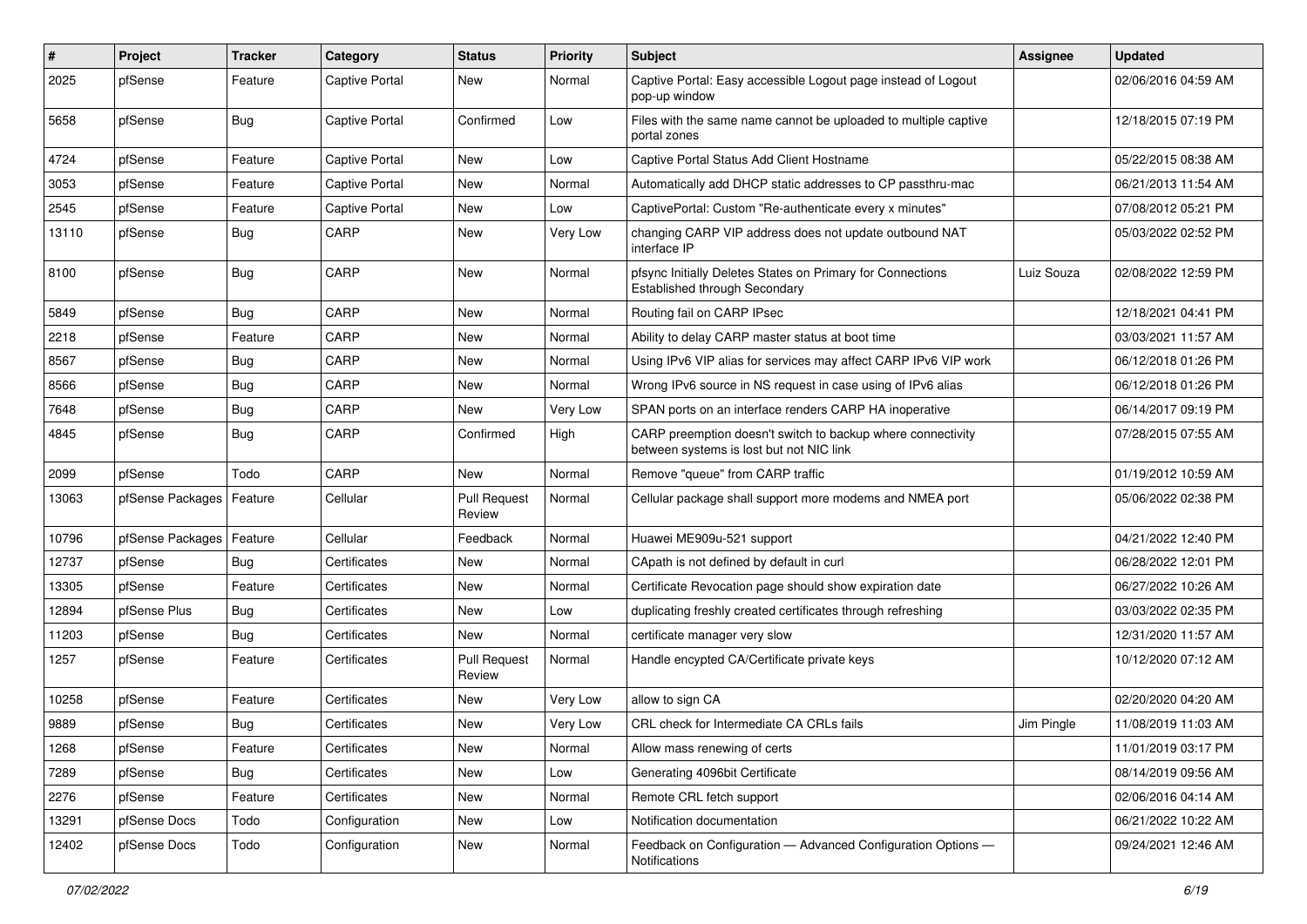| #     | Project                    | <b>Tracker</b> | Category              | <b>Status</b>                 | <b>Priority</b> | Subject                                                                                                 | Assignee   | <b>Updated</b>      |
|-------|----------------------------|----------------|-----------------------|-------------------------------|-----------------|---------------------------------------------------------------------------------------------------------|------------|---------------------|
| 2025  | pfSense                    | Feature        | Captive Portal        | New                           | Normal          | Captive Portal: Easy accessible Logout page instead of Logout<br>pop-up window                          |            | 02/06/2016 04:59 AM |
| 5658  | pfSense                    | <b>Bug</b>     | Captive Portal        | Confirmed                     | Low             | Files with the same name cannot be uploaded to multiple captive<br>portal zones                         |            | 12/18/2015 07:19 PM |
| 4724  | pfSense                    | Feature        | <b>Captive Portal</b> | <b>New</b>                    | Low             | Captive Portal Status Add Client Hostname                                                               |            | 05/22/2015 08:38 AM |
| 3053  | pfSense                    | Feature        | Captive Portal        | New                           | Normal          | Automatically add DHCP static addresses to CP passthru-mac                                              |            | 06/21/2013 11:54 AM |
| 2545  | pfSense                    | Feature        | Captive Portal        | New                           | Low             | CaptivePortal: Custom "Re-authenticate every x minutes"                                                 |            | 07/08/2012 05:21 PM |
| 13110 | pfSense                    | <b>Bug</b>     | CARP                  | <b>New</b>                    | Very Low        | changing CARP VIP address does not update outbound NAT<br>interface IP                                  |            | 05/03/2022 02:52 PM |
| 8100  | pfSense                    | <b>Bug</b>     | CARP                  | New                           | Normal          | pfsync Initially Deletes States on Primary for Connections<br>Established through Secondary             | Luiz Souza | 02/08/2022 12:59 PM |
| 5849  | pfSense                    | Bug            | CARP                  | New                           | Normal          | Routing fail on CARP IPsec                                                                              |            | 12/18/2021 04:41 PM |
| 2218  | pfSense                    | Feature        | CARP                  | <b>New</b>                    | Normal          | Ability to delay CARP master status at boot time                                                        |            | 03/03/2021 11:57 AM |
| 8567  | pfSense                    | Bug            | CARP                  | New                           | Normal          | Using IPv6 VIP alias for services may affect CARP IPv6 VIP work                                         |            | 06/12/2018 01:26 PM |
| 8566  | pfSense                    | <b>Bug</b>     | CARP                  | <b>New</b>                    | Normal          | Wrong IPv6 source in NS request in case using of IPv6 alias                                             |            | 06/12/2018 01:26 PM |
| 7648  | pfSense                    | <b>Bug</b>     | CARP                  | <b>New</b>                    | Very Low        | SPAN ports on an interface renders CARP HA inoperative                                                  |            | 06/14/2017 09:19 PM |
| 4845  | pfSense                    | <b>Bug</b>     | CARP                  | Confirmed                     | High            | CARP preemption doesn't switch to backup where connectivity<br>between systems is lost but not NIC link |            | 07/28/2015 07:55 AM |
| 2099  | pfSense                    | Todo           | CARP                  | <b>New</b>                    | Normal          | Remove "queue" from CARP traffic                                                                        |            | 01/19/2012 10:59 AM |
| 13063 | pfSense Packages           | Feature        | Cellular              | <b>Pull Request</b><br>Review | Normal          | Cellular package shall support more modems and NMEA port                                                |            | 05/06/2022 02:38 PM |
| 10796 | pfSense Packages   Feature |                | Cellular              | Feedback                      | Normal          | Huawei ME909u-521 support                                                                               |            | 04/21/2022 12:40 PM |
| 12737 | pfSense                    | <b>Bug</b>     | Certificates          | <b>New</b>                    | Normal          | CApath is not defined by default in curl                                                                |            | 06/28/2022 12:01 PM |
| 13305 | pfSense                    | Feature        | Certificates          | <b>New</b>                    | Normal          | Certificate Revocation page should show expiration date                                                 |            | 06/27/2022 10:26 AM |
| 12894 | pfSense Plus               | <b>Bug</b>     | Certificates          | New                           | Low             | duplicating freshly created certificates through refreshing                                             |            | 03/03/2022 02:35 PM |
| 11203 | pfSense                    | Bug            | Certificates          | <b>New</b>                    | Normal          | certificate manager very slow                                                                           |            | 12/31/2020 11:57 AM |
| 1257  | pfSense                    | Feature        | Certificates          | <b>Pull Request</b><br>Review | Normal          | Handle encypted CA/Certificate private keys                                                             |            | 10/12/2020 07:12 AM |
| 10258 | pfSense                    | Feature        | Certificates          | <b>New</b>                    | Very Low        | allow to sign CA                                                                                        |            | 02/20/2020 04:20 AM |
| 9889  | pfSense                    | <b>Bug</b>     | Certificates          | <b>New</b>                    | Very Low        | CRL check for Intermediate CA CRLs fails                                                                | Jim Pingle | 11/08/2019 11:03 AM |
| 1268  | pfSense                    | Feature        | Certificates          | New                           | Normal          | Allow mass renewing of certs                                                                            |            | 11/01/2019 03:17 PM |
| 7289  | pfSense                    | <b>Bug</b>     | Certificates          | New                           | Low             | Generating 4096bit Certificate                                                                          |            | 08/14/2019 09:56 AM |
| 2276  | pfSense                    | Feature        | Certificates          | New                           | Normal          | Remote CRL fetch support                                                                                |            | 02/06/2016 04:14 AM |
| 13291 | pfSense Docs               | Todo           | Configuration         | New                           | Low             | Notification documentation                                                                              |            | 06/21/2022 10:22 AM |
| 12402 | pfSense Docs               | Todo           | Configuration         | New                           | Normal          | Feedback on Configuration - Advanced Configuration Options -<br>Notifications                           |            | 09/24/2021 12:46 AM |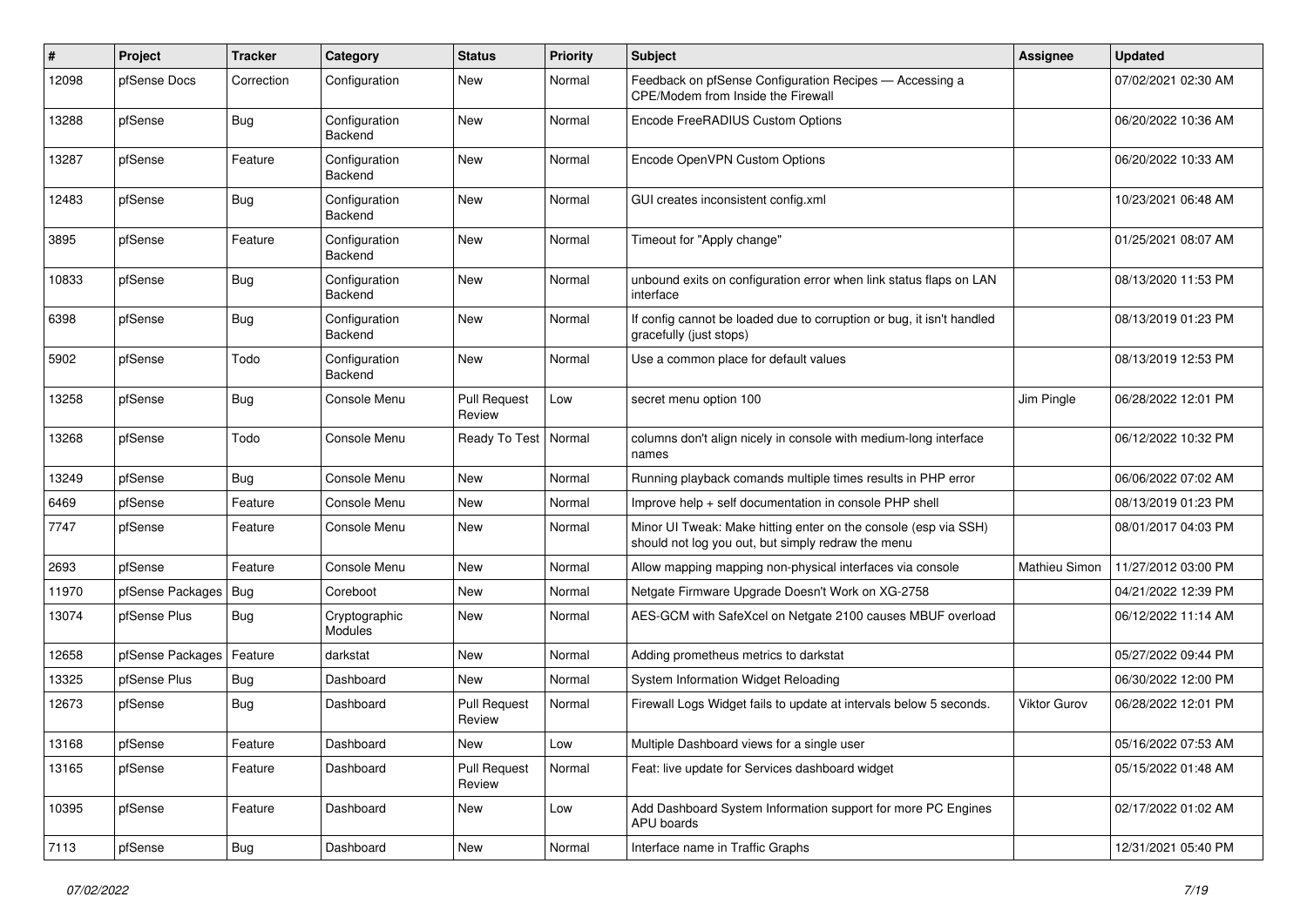| #     | Project          | <b>Tracker</b> | Category                 | <b>Status</b>                 | <b>Priority</b> | Subject                                                                                                               | Assignee            | <b>Updated</b>      |
|-------|------------------|----------------|--------------------------|-------------------------------|-----------------|-----------------------------------------------------------------------------------------------------------------------|---------------------|---------------------|
| 12098 | pfSense Docs     | Correction     | Configuration            | <b>New</b>                    | Normal          | Feedback on pfSense Configuration Recipes - Accessing a<br>CPE/Modem from Inside the Firewall                         |                     | 07/02/2021 02:30 AM |
| 13288 | pfSense          | Bug            | Configuration<br>Backend | New                           | Normal          | Encode FreeRADIUS Custom Options                                                                                      |                     | 06/20/2022 10:36 AM |
| 13287 | pfSense          | Feature        | Configuration<br>Backend | <b>New</b>                    | Normal          | Encode OpenVPN Custom Options                                                                                         |                     | 06/20/2022 10:33 AM |
| 12483 | pfSense          | Bug            | Configuration<br>Backend | <b>New</b>                    | Normal          | GUI creates inconsistent config.xml                                                                                   |                     | 10/23/2021 06:48 AM |
| 3895  | pfSense          | Feature        | Configuration<br>Backend | <b>New</b>                    | Normal          | Timeout for "Apply change"                                                                                            |                     | 01/25/2021 08:07 AM |
| 10833 | pfSense          | <b>Bug</b>     | Configuration<br>Backend | New                           | Normal          | unbound exits on configuration error when link status flaps on LAN<br>interface                                       |                     | 08/13/2020 11:53 PM |
| 6398  | pfSense          | Bug            | Configuration<br>Backend | <b>New</b>                    | Normal          | If config cannot be loaded due to corruption or bug, it isn't handled<br>gracefully (just stops)                      |                     | 08/13/2019 01:23 PM |
| 5902  | pfSense          | Todo           | Configuration<br>Backend | <b>New</b>                    | Normal          | Use a common place for default values                                                                                 |                     | 08/13/2019 12:53 PM |
| 13258 | pfSense          | Bug            | Console Menu             | <b>Pull Request</b><br>Review | Low             | secret menu option 100                                                                                                | Jim Pingle          | 06/28/2022 12:01 PM |
| 13268 | pfSense          | Todo           | Console Menu             | Ready To Test                 | Normal          | columns don't align nicely in console with medium-long interface<br>names                                             |                     | 06/12/2022 10:32 PM |
| 13249 | pfSense          | Bug            | Console Menu             | <b>New</b>                    | Normal          | Running playback comands multiple times results in PHP error                                                          |                     | 06/06/2022 07:02 AM |
| 6469  | pfSense          | Feature        | Console Menu             | New                           | Normal          | Improve help + self documentation in console PHP shell                                                                |                     | 08/13/2019 01:23 PM |
| 7747  | pfSense          | Feature        | Console Menu             | <b>New</b>                    | Normal          | Minor UI Tweak: Make hitting enter on the console (esp via SSH)<br>should not log you out, but simply redraw the menu |                     | 08/01/2017 04:03 PM |
| 2693  | pfSense          | Feature        | Console Menu             | New                           | Normal          | Allow mapping mapping non-physical interfaces via console                                                             | Mathieu Simon       | 11/27/2012 03:00 PM |
| 11970 | pfSense Packages | Bug            | Coreboot                 | <b>New</b>                    | Normal          | Netgate Firmware Upgrade Doesn't Work on XG-2758                                                                      |                     | 04/21/2022 12:39 PM |
| 13074 | pfSense Plus     | Bug            | Cryptographic<br>Modules | <b>New</b>                    | Normal          | AES-GCM with SafeXcel on Netgate 2100 causes MBUF overload                                                            |                     | 06/12/2022 11:14 AM |
| 12658 | pfSense Packages | Feature        | darkstat                 | <b>New</b>                    | Normal          | Adding prometheus metrics to darkstat                                                                                 |                     | 05/27/2022 09:44 PM |
| 13325 | pfSense Plus     | Bug            | Dashboard                | <b>New</b>                    | Normal          | System Information Widget Reloading                                                                                   |                     | 06/30/2022 12:00 PM |
| 12673 | pfSense          | Bug            | Dashboard                | <b>Pull Request</b><br>Review | Normal          | Firewall Logs Widget fails to update at intervals below 5 seconds.                                                    | <b>Viktor Gurov</b> | 06/28/2022 12:01 PM |
| 13168 | pfSense          | Feature        | Dashboard                | New                           | Low             | Multiple Dashboard views for a single user                                                                            |                     | 05/16/2022 07:53 AM |
| 13165 | pfSense          | Feature        | Dashboard                | <b>Pull Request</b><br>Review | Normal          | Feat: live update for Services dashboard widget                                                                       |                     | 05/15/2022 01:48 AM |
| 10395 | pfSense          | Feature        | Dashboard                | New                           | Low             | Add Dashboard System Information support for more PC Engines<br>APU boards                                            |                     | 02/17/2022 01:02 AM |
| 7113  | pfSense          | Bug            | Dashboard                | New                           | Normal          | Interface name in Traffic Graphs                                                                                      |                     | 12/31/2021 05:40 PM |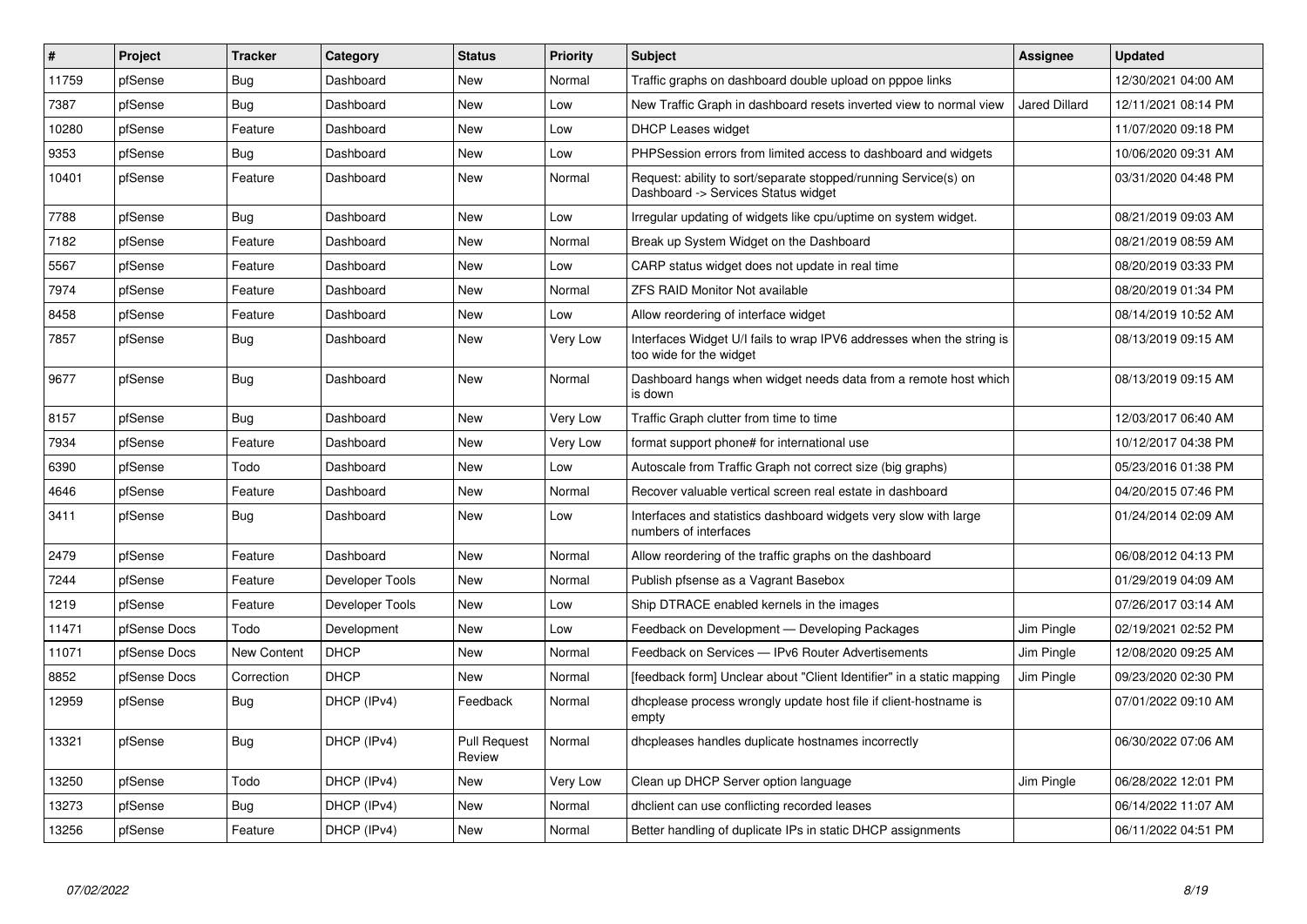| #     | Project      | <b>Tracker</b> | Category        | <b>Status</b>                 | Priority | <b>Subject</b>                                                                                         | Assignee      | <b>Updated</b>      |
|-------|--------------|----------------|-----------------|-------------------------------|----------|--------------------------------------------------------------------------------------------------------|---------------|---------------------|
| 11759 | pfSense      | <b>Bug</b>     | Dashboard       | <b>New</b>                    | Normal   | Traffic graphs on dashboard double upload on pppoe links                                               |               | 12/30/2021 04:00 AM |
| 7387  | pfSense      | Bug            | Dashboard       | New                           | Low      | New Traffic Graph in dashboard resets inverted view to normal view                                     | Jared Dillard | 12/11/2021 08:14 PM |
| 10280 | pfSense      | Feature        | Dashboard       | New                           | Low      | <b>DHCP Leases widget</b>                                                                              |               | 11/07/2020 09:18 PM |
| 9353  | pfSense      | Bug            | Dashboard       | New                           | Low      | PHPSession errors from limited access to dashboard and widgets                                         |               | 10/06/2020 09:31 AM |
| 10401 | pfSense      | Feature        | Dashboard       | New                           | Normal   | Request: ability to sort/separate stopped/running Service(s) on<br>Dashboard -> Services Status widget |               | 03/31/2020 04:48 PM |
| 7788  | pfSense      | Bug            | Dashboard       | New                           | Low      | Irregular updating of widgets like cpu/uptime on system widget.                                        |               | 08/21/2019 09:03 AM |
| 7182  | pfSense      | Feature        | Dashboard       | New                           | Normal   | Break up System Widget on the Dashboard                                                                |               | 08/21/2019 08:59 AM |
| 5567  | pfSense      | Feature        | Dashboard       | New                           | Low      | CARP status widget does not update in real time                                                        |               | 08/20/2019 03:33 PM |
| 7974  | pfSense      | Feature        | Dashboard       | New                           | Normal   | <b>ZFS RAID Monitor Not available</b>                                                                  |               | 08/20/2019 01:34 PM |
| 8458  | pfSense      | Feature        | Dashboard       | New                           | Low      | Allow reordering of interface widget                                                                   |               | 08/14/2019 10:52 AM |
| 7857  | pfSense      | Bug            | Dashboard       | New                           | Very Low | Interfaces Widget U/I fails to wrap IPV6 addresses when the string is<br>too wide for the widget       |               | 08/13/2019 09:15 AM |
| 9677  | pfSense      | Bug            | Dashboard       | New                           | Normal   | Dashboard hangs when widget needs data from a remote host which<br>is down                             |               | 08/13/2019 09:15 AM |
| 8157  | pfSense      | Bug            | Dashboard       | New                           | Very Low | Traffic Graph clutter from time to time                                                                |               | 12/03/2017 06:40 AM |
| 7934  | pfSense      | Feature        | Dashboard       | New                           | Very Low | format support phone# for international use                                                            |               | 10/12/2017 04:38 PM |
| 6390  | pfSense      | Todo           | Dashboard       | New                           | Low      | Autoscale from Traffic Graph not correct size (big graphs)                                             |               | 05/23/2016 01:38 PM |
| 4646  | pfSense      | Feature        | Dashboard       | <b>New</b>                    | Normal   | Recover valuable vertical screen real estate in dashboard                                              |               | 04/20/2015 07:46 PM |
| 3411  | pfSense      | <b>Bug</b>     | Dashboard       | New                           | Low      | Interfaces and statistics dashboard widgets very slow with large<br>numbers of interfaces              |               | 01/24/2014 02:09 AM |
| 2479  | pfSense      | Feature        | Dashboard       | <b>New</b>                    | Normal   | Allow reordering of the traffic graphs on the dashboard                                                |               | 06/08/2012 04:13 PM |
| 7244  | pfSense      | Feature        | Developer Tools | <b>New</b>                    | Normal   | Publish pfsense as a Vagrant Basebox                                                                   |               | 01/29/2019 04:09 AM |
| 1219  | pfSense      | Feature        | Developer Tools | New                           | Low      | Ship DTRACE enabled kernels in the images                                                              |               | 07/26/2017 03:14 AM |
| 11471 | pfSense Docs | Todo           | Development     | <b>New</b>                    | Low      | Feedback on Development - Developing Packages                                                          | Jim Pingle    | 02/19/2021 02:52 PM |
| 11071 | pfSense Docs | New Content    | <b>DHCP</b>     | <b>New</b>                    | Normal   | Feedback on Services - IPv6 Router Advertisements                                                      | Jim Pingle    | 12/08/2020 09:25 AM |
| 8852  | pfSense Docs | Correction     | <b>DHCP</b>     | <b>New</b>                    | Normal   | [feedback form] Unclear about "Client Identifier" in a static mapping                                  | Jim Pingle    | 09/23/2020 02:30 PM |
| 12959 | pfSense      | <b>Bug</b>     | DHCP (IPv4)     | Feedback                      | Normal   | dhcplease process wrongly update host file if client-hostname is<br>empty                              |               | 07/01/2022 09:10 AM |
| 13321 | pfSense      | <b>Bug</b>     | DHCP (IPv4)     | <b>Pull Request</b><br>Review | Normal   | dhcpleases handles duplicate hostnames incorrectly                                                     |               | 06/30/2022 07:06 AM |
| 13250 | pfSense      | Todo           | DHCP (IPv4)     | New                           | Very Low | Clean up DHCP Server option language                                                                   | Jim Pingle    | 06/28/2022 12:01 PM |
| 13273 | pfSense      | Bug            | DHCP (IPv4)     | New                           | Normal   | dholient can use conflicting recorded leases                                                           |               | 06/14/2022 11:07 AM |
| 13256 | pfSense      | Feature        | DHCP (IPv4)     | <b>New</b>                    | Normal   | Better handling of duplicate IPs in static DHCP assignments                                            |               | 06/11/2022 04:51 PM |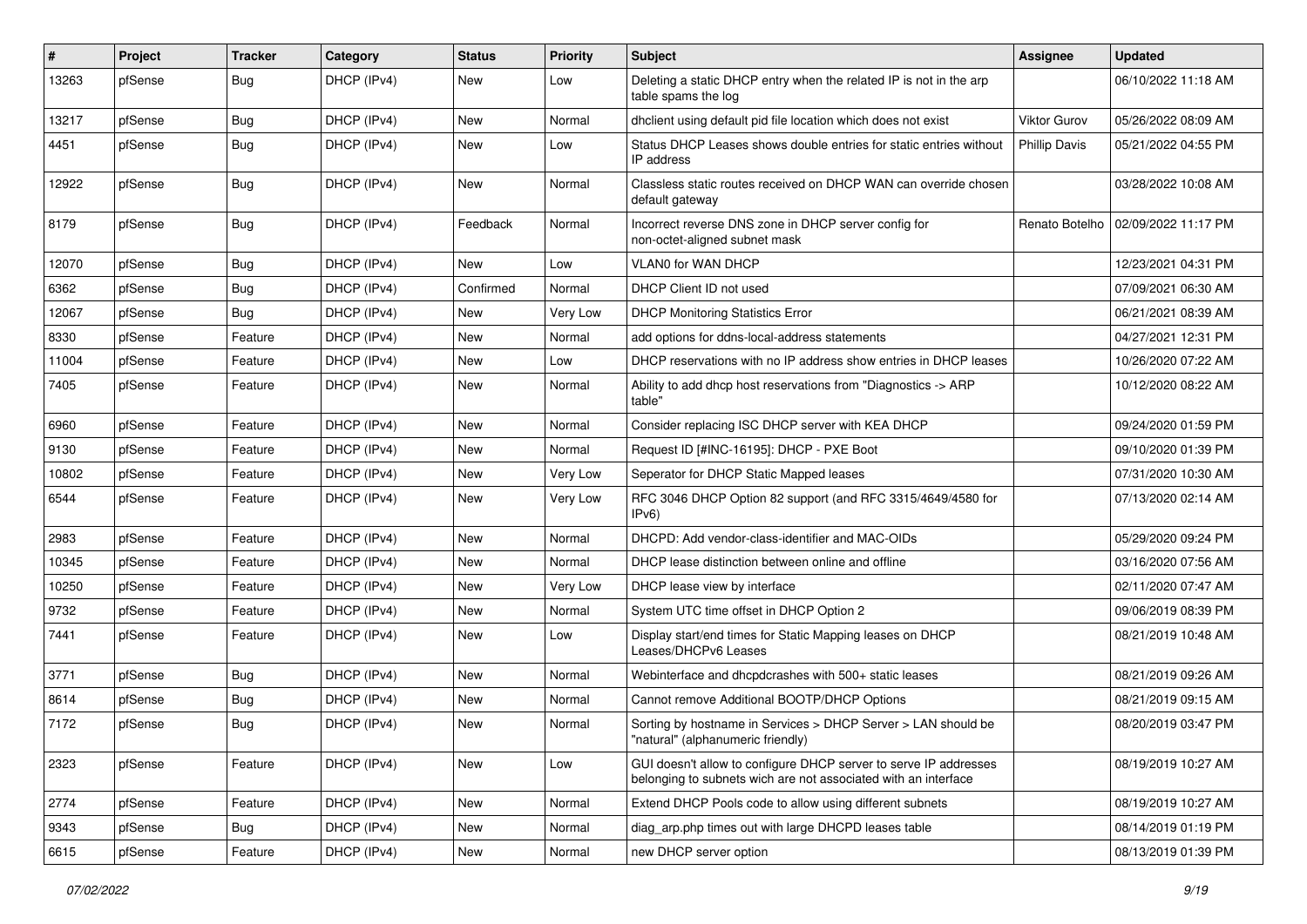| $\vert$ # | Project | <b>Tracker</b> | Category    | <b>Status</b> | <b>Priority</b> | Subject                                                                                                                            | <b>Assignee</b>      | <b>Updated</b>      |
|-----------|---------|----------------|-------------|---------------|-----------------|------------------------------------------------------------------------------------------------------------------------------------|----------------------|---------------------|
| 13263     | pfSense | <b>Bug</b>     | DHCP (IPv4) | New           | Low             | Deleting a static DHCP entry when the related IP is not in the arp<br>table spams the log                                          |                      | 06/10/2022 11:18 AM |
| 13217     | pfSense | Bug            | DHCP (IPv4) | New           | Normal          | dholient using default pid file location which does not exist                                                                      | Viktor Gurov         | 05/26/2022 08:09 AM |
| 4451      | pfSense | Bug            | DHCP (IPv4) | New           | Low             | Status DHCP Leases shows double entries for static entries without<br>IP address                                                   | <b>Phillip Davis</b> | 05/21/2022 04:55 PM |
| 12922     | pfSense | Bug            | DHCP (IPv4) | New           | Normal          | Classless static routes received on DHCP WAN can override chosen<br>default gateway                                                |                      | 03/28/2022 10:08 AM |
| 8179      | pfSense | <b>Bug</b>     | DHCP (IPv4) | Feedback      | Normal          | Incorrect reverse DNS zone in DHCP server config for<br>non-octet-aligned subnet mask                                              | Renato Botelho       | 02/09/2022 11:17 PM |
| 12070     | pfSense | Bug            | DHCP (IPv4) | New           | Low             | VLAN0 for WAN DHCP                                                                                                                 |                      | 12/23/2021 04:31 PM |
| 6362      | pfSense | Bug            | DHCP (IPv4) | Confirmed     | Normal          | DHCP Client ID not used                                                                                                            |                      | 07/09/2021 06:30 AM |
| 12067     | pfSense | Bug            | DHCP (IPv4) | New           | Very Low        | <b>DHCP Monitoring Statistics Error</b>                                                                                            |                      | 06/21/2021 08:39 AM |
| 8330      | pfSense | Feature        | DHCP (IPv4) | New           | Normal          | add options for ddns-local-address statements                                                                                      |                      | 04/27/2021 12:31 PM |
| 11004     | pfSense | Feature        | DHCP (IPv4) | New           | Low             | DHCP reservations with no IP address show entries in DHCP leases                                                                   |                      | 10/26/2020 07:22 AM |
| 7405      | pfSense | Feature        | DHCP (IPv4) | New           | Normal          | Ability to add dhcp host reservations from "Diagnostics -> ARP<br>table"                                                           |                      | 10/12/2020 08:22 AM |
| 6960      | pfSense | Feature        | DHCP (IPv4) | New           | Normal          | Consider replacing ISC DHCP server with KEA DHCP                                                                                   |                      | 09/24/2020 01:59 PM |
| 9130      | pfSense | Feature        | DHCP (IPv4) | <b>New</b>    | Normal          | Request ID [#INC-16195]: DHCP - PXE Boot                                                                                           |                      | 09/10/2020 01:39 PM |
| 10802     | pfSense | Feature        | DHCP (IPv4) | New           | Very Low        | Seperator for DHCP Static Mapped leases                                                                                            |                      | 07/31/2020 10:30 AM |
| 6544      | pfSense | Feature        | DHCP (IPv4) | New           | Very Low        | RFC 3046 DHCP Option 82 support (and RFC 3315/4649/4580 for<br>IPv6)                                                               |                      | 07/13/2020 02:14 AM |
| 2983      | pfSense | Feature        | DHCP (IPv4) | New           | Normal          | DHCPD: Add vendor-class-identifier and MAC-OIDs                                                                                    |                      | 05/29/2020 09:24 PM |
| 10345     | pfSense | Feature        | DHCP (IPv4) | New           | Normal          | DHCP lease distinction between online and offline                                                                                  |                      | 03/16/2020 07:56 AM |
| 10250     | pfSense | Feature        | DHCP (IPv4) | New           | Very Low        | DHCP lease view by interface                                                                                                       |                      | 02/11/2020 07:47 AM |
| 9732      | pfSense | Feature        | DHCP (IPv4) | New           | Normal          | System UTC time offset in DHCP Option 2                                                                                            |                      | 09/06/2019 08:39 PM |
| 7441      | pfSense | Feature        | DHCP (IPv4) | New           | Low             | Display start/end times for Static Mapping leases on DHCP<br>Leases/DHCPv6 Leases                                                  |                      | 08/21/2019 10:48 AM |
| 3771      | pfSense | Bug            | DHCP (IPv4) | New           | Normal          | Webinterface and dhcpdcrashes with 500+ static leases                                                                              |                      | 08/21/2019 09:26 AM |
| 8614      | pfSense | <b>Bug</b>     | DHCP (IPv4) | New           | Normal          | Cannot remove Additional BOOTP/DHCP Options                                                                                        |                      | 08/21/2019 09:15 AM |
| 7172      | pfSense | <b>Bug</b>     | DHCP (IPv4) | New           | Normal          | Sorting by hostname in Services > DHCP Server > LAN should be<br>'natural" (alphanumeric friendly)                                 |                      | 08/20/2019 03:47 PM |
| 2323      | pfSense | Feature        | DHCP (IPv4) | New           | Low             | GUI doesn't allow to configure DHCP server to serve IP addresses<br>belonging to subnets wich are not associated with an interface |                      | 08/19/2019 10:27 AM |
| 2774      | pfSense | Feature        | DHCP (IPv4) | New           | Normal          | Extend DHCP Pools code to allow using different subnets                                                                            |                      | 08/19/2019 10:27 AM |
| 9343      | pfSense | <b>Bug</b>     | DHCP (IPv4) | New           | Normal          | diag arp.php times out with large DHCPD leases table                                                                               |                      | 08/14/2019 01:19 PM |
| 6615      | pfSense | Feature        | DHCP (IPv4) | New           | Normal          | new DHCP server option                                                                                                             |                      | 08/13/2019 01:39 PM |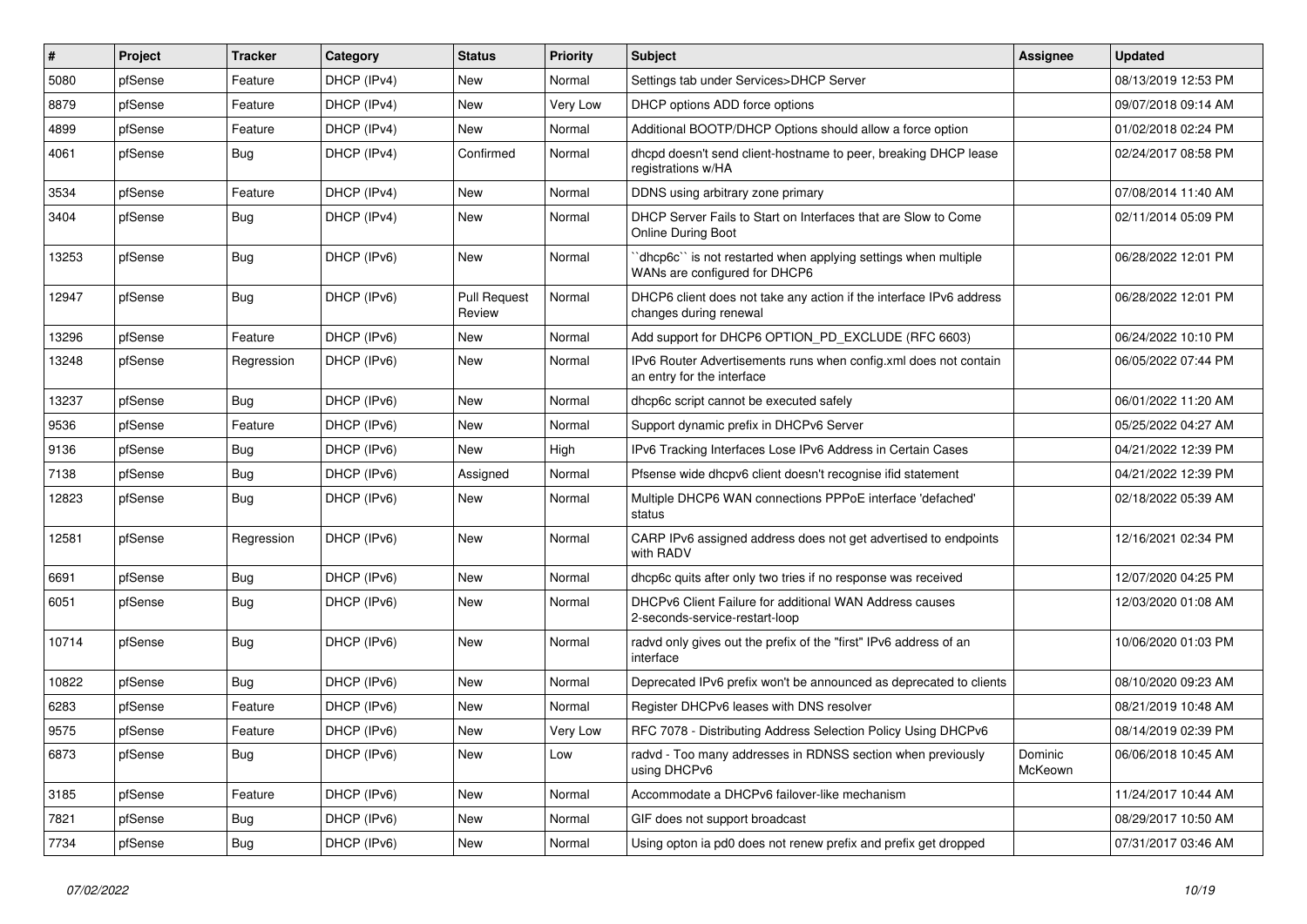| #     | Project | <b>Tracker</b> | Category    | <b>Status</b>                 | <b>Priority</b> | Subject                                                                                          | <b>Assignee</b>    | <b>Updated</b>      |
|-------|---------|----------------|-------------|-------------------------------|-----------------|--------------------------------------------------------------------------------------------------|--------------------|---------------------|
| 5080  | pfSense | Feature        | DHCP (IPv4) | New                           | Normal          | Settings tab under Services>DHCP Server                                                          |                    | 08/13/2019 12:53 PM |
| 8879  | pfSense | Feature        | DHCP (IPv4) | <b>New</b>                    | Very Low        | DHCP options ADD force options                                                                   |                    | 09/07/2018 09:14 AM |
| 4899  | pfSense | Feature        | DHCP (IPv4) | New                           | Normal          | Additional BOOTP/DHCP Options should allow a force option                                        |                    | 01/02/2018 02:24 PM |
| 4061  | pfSense | <b>Bug</b>     | DHCP (IPv4) | Confirmed                     | Normal          | dhcpd doesn't send client-hostname to peer, breaking DHCP lease<br>registrations w/HA            |                    | 02/24/2017 08:58 PM |
| 3534  | pfSense | Feature        | DHCP (IPv4) | New                           | Normal          | DDNS using arbitrary zone primary                                                                |                    | 07/08/2014 11:40 AM |
| 3404  | pfSense | Bug            | DHCP (IPv4) | New                           | Normal          | DHCP Server Fails to Start on Interfaces that are Slow to Come<br>Online During Boot             |                    | 02/11/2014 05:09 PM |
| 13253 | pfSense | <b>Bug</b>     | DHCP (IPv6) | New                           | Normal          | 'dhcp6c'' is not restarted when applying settings when multiple<br>WANs are configured for DHCP6 |                    | 06/28/2022 12:01 PM |
| 12947 | pfSense | Bug            | DHCP (IPv6) | <b>Pull Request</b><br>Review | Normal          | DHCP6 client does not take any action if the interface IPv6 address<br>changes during renewal    |                    | 06/28/2022 12:01 PM |
| 13296 | pfSense | Feature        | DHCP (IPv6) | <b>New</b>                    | Normal          | Add support for DHCP6 OPTION_PD_EXCLUDE (RFC 6603)                                               |                    | 06/24/2022 10:10 PM |
| 13248 | pfSense | Regression     | DHCP (IPv6) | New                           | Normal          | IPv6 Router Advertisements runs when config.xml does not contain<br>an entry for the interface   |                    | 06/05/2022 07:44 PM |
| 13237 | pfSense | Bug            | DHCP (IPv6) | <b>New</b>                    | Normal          | dhcp6c script cannot be executed safely                                                          |                    | 06/01/2022 11:20 AM |
| 9536  | pfSense | Feature        | DHCP (IPv6) | New                           | Normal          | Support dynamic prefix in DHCPv6 Server                                                          |                    | 05/25/2022 04:27 AM |
| 9136  | pfSense | Bug            | DHCP (IPv6) | New                           | High            | IPv6 Tracking Interfaces Lose IPv6 Address in Certain Cases                                      |                    | 04/21/2022 12:39 PM |
| 7138  | pfSense | Bug            | DHCP (IPv6) | Assigned                      | Normal          | Pfsense wide dhcpv6 client doesn't recognise ifid statement                                      |                    | 04/21/2022 12:39 PM |
| 12823 | pfSense | Bug            | DHCP (IPv6) | New                           | Normal          | Multiple DHCP6 WAN connections PPPoE interface 'defached'<br>status                              |                    | 02/18/2022 05:39 AM |
| 12581 | pfSense | Regression     | DHCP (IPv6) | New                           | Normal          | CARP IPv6 assigned address does not get advertised to endpoints<br>with RADV                     |                    | 12/16/2021 02:34 PM |
| 6691  | pfSense | Bug            | DHCP (IPv6) | New                           | Normal          | dhcp6c quits after only two tries if no response was received                                    |                    | 12/07/2020 04:25 PM |
| 6051  | pfSense | <b>Bug</b>     | DHCP (IPv6) | <b>New</b>                    | Normal          | DHCPv6 Client Failure for additional WAN Address causes<br>2-seconds-service-restart-loop        |                    | 12/03/2020 01:08 AM |
| 10714 | pfSense | Bug            | DHCP (IPv6) | <b>New</b>                    | Normal          | radvd only gives out the prefix of the "first" IPv6 address of an<br>interface                   |                    | 10/06/2020 01:03 PM |
| 10822 | pfSense | Bug            | DHCP (IPv6) | <b>New</b>                    | Normal          | Deprecated IPv6 prefix won't be announced as deprecated to clients                               |                    | 08/10/2020 09:23 AM |
| 6283  | pfSense | Feature        | DHCP (IPv6) | New                           | Normal          | Register DHCPv6 leases with DNS resolver                                                         |                    | 08/21/2019 10:48 AM |
| 9575  | pfSense | Feature        | DHCP (IPv6) | <b>New</b>                    | Very Low        | RFC 7078 - Distributing Address Selection Policy Using DHCPv6                                    |                    | 08/14/2019 02:39 PM |
| 6873  | pfSense | <b>Bug</b>     | DHCP (IPv6) | New                           | Low             | radvd - Too many addresses in RDNSS section when previously<br>using DHCPv6                      | Dominic<br>McKeown | 06/06/2018 10:45 AM |
| 3185  | pfSense | Feature        | DHCP (IPv6) | New                           | Normal          | Accommodate a DHCPv6 failover-like mechanism                                                     |                    | 11/24/2017 10:44 AM |
| 7821  | pfSense | Bug            | DHCP (IPv6) | New                           | Normal          | GIF does not support broadcast                                                                   |                    | 08/29/2017 10:50 AM |
| 7734  | pfSense | Bug            | DHCP (IPv6) | New                           | Normal          | Using opton ia pd0 does not renew prefix and prefix get dropped                                  |                    | 07/31/2017 03:46 AM |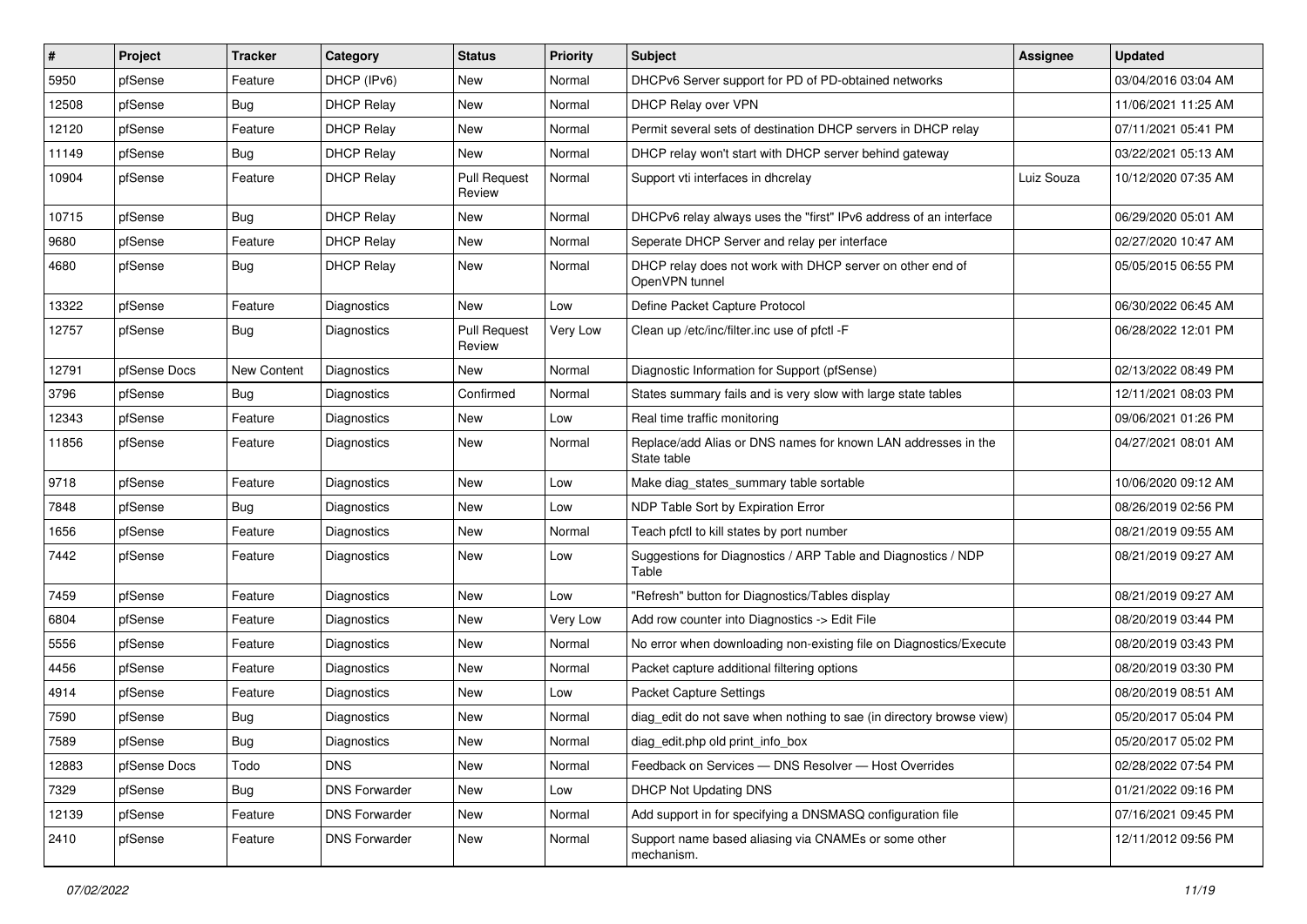| $\vert$ # | Project      | <b>Tracker</b> | Category             | <b>Status</b>                 | <b>Priority</b> | <b>Subject</b>                                                               | Assignee   | <b>Updated</b>      |
|-----------|--------------|----------------|----------------------|-------------------------------|-----------------|------------------------------------------------------------------------------|------------|---------------------|
| 5950      | pfSense      | Feature        | DHCP (IPv6)          | New                           | Normal          | DHCPv6 Server support for PD of PD-obtained networks                         |            | 03/04/2016 03:04 AM |
| 12508     | pfSense      | Bug            | <b>DHCP Relay</b>    | New                           | Normal          | DHCP Relay over VPN                                                          |            | 11/06/2021 11:25 AM |
| 12120     | pfSense      | Feature        | <b>DHCP Relay</b>    | New                           | Normal          | Permit several sets of destination DHCP servers in DHCP relay                |            | 07/11/2021 05:41 PM |
| 11149     | pfSense      | <b>Bug</b>     | <b>DHCP Relay</b>    | <b>New</b>                    | Normal          | DHCP relay won't start with DHCP server behind gateway                       |            | 03/22/2021 05:13 AM |
| 10904     | pfSense      | Feature        | <b>DHCP Relay</b>    | <b>Pull Request</b><br>Review | Normal          | Support vti interfaces in dhcrelay                                           | Luiz Souza | 10/12/2020 07:35 AM |
| 10715     | pfSense      | Bug            | <b>DHCP Relay</b>    | New                           | Normal          | DHCPv6 relay always uses the "first" IPv6 address of an interface            |            | 06/29/2020 05:01 AM |
| 9680      | pfSense      | Feature        | <b>DHCP Relay</b>    | <b>New</b>                    | Normal          | Seperate DHCP Server and relay per interface                                 |            | 02/27/2020 10:47 AM |
| 4680      | pfSense      | <b>Bug</b>     | <b>DHCP Relay</b>    | <b>New</b>                    | Normal          | DHCP relay does not work with DHCP server on other end of<br>OpenVPN tunnel  |            | 05/05/2015 06:55 PM |
| 13322     | pfSense      | Feature        | Diagnostics          | New                           | Low             | Define Packet Capture Protocol                                               |            | 06/30/2022 06:45 AM |
| 12757     | pfSense      | Bug            | Diagnostics          | <b>Pull Request</b><br>Review | Very Low        | Clean up /etc/inc/filter.inc use of pfctl -F                                 |            | 06/28/2022 12:01 PM |
| 12791     | pfSense Docs | New Content    | <b>Diagnostics</b>   | New                           | Normal          | Diagnostic Information for Support (pfSense)                                 |            | 02/13/2022 08:49 PM |
| 3796      | pfSense      | <b>Bug</b>     | Diagnostics          | Confirmed                     | Normal          | States summary fails and is very slow with large state tables                |            | 12/11/2021 08:03 PM |
| 12343     | pfSense      | Feature        | <b>Diagnostics</b>   | <b>New</b>                    | Low             | Real time traffic monitoring                                                 |            | 09/06/2021 01:26 PM |
| 11856     | pfSense      | Feature        | Diagnostics          | New                           | Normal          | Replace/add Alias or DNS names for known LAN addresses in the<br>State table |            | 04/27/2021 08:01 AM |
| 9718      | pfSense      | Feature        | Diagnostics          | New                           | Low             | Make diag_states_summary table sortable                                      |            | 10/06/2020 09:12 AM |
| 7848      | pfSense      | <b>Bug</b>     | Diagnostics          | New                           | Low             | NDP Table Sort by Expiration Error                                           |            | 08/26/2019 02:56 PM |
| 1656      | pfSense      | Feature        | <b>Diagnostics</b>   | <b>New</b>                    | Normal          | Teach pfctl to kill states by port number                                    |            | 08/21/2019 09:55 AM |
| 7442      | pfSense      | Feature        | Diagnostics          | New                           | Low             | Suggestions for Diagnostics / ARP Table and Diagnostics / NDP<br>Table       |            | 08/21/2019 09:27 AM |
| 7459      | pfSense      | Feature        | Diagnostics          | <b>New</b>                    | Low             | "Refresh" button for Diagnostics/Tables display                              |            | 08/21/2019 09:27 AM |
| 6804      | pfSense      | Feature        | Diagnostics          | New                           | Very Low        | Add row counter into Diagnostics -> Edit File                                |            | 08/20/2019 03:44 PM |
| 5556      | pfSense      | Feature        | Diagnostics          | New                           | Normal          | No error when downloading non-existing file on Diagnostics/Execute           |            | 08/20/2019 03:43 PM |
| 4456      | pfSense      | Feature        | Diagnostics          | New                           | Normal          | Packet capture additional filtering options                                  |            | 08/20/2019 03:30 PM |
| 4914      | pfSense      | Feature        | Diagnostics          | New                           | Low             | Packet Capture Settings                                                      |            | 08/20/2019 08:51 AM |
| 7590      | pfSense      | <b>Bug</b>     | Diagnostics          | <b>New</b>                    | Normal          | diag_edit do not save when nothing to sae (in directory browse view)         |            | 05/20/2017 05:04 PM |
| 7589      | pfSense      | Bug            | Diagnostics          | New                           | Normal          | diag edit.php old print info box                                             |            | 05/20/2017 05:02 PM |
| 12883     | pfSense Docs | Todo           | <b>DNS</b>           | New                           | Normal          | Feedback on Services - DNS Resolver - Host Overrides                         |            | 02/28/2022 07:54 PM |
| 7329      | pfSense      | <b>Bug</b>     | <b>DNS Forwarder</b> | New                           | Low             | <b>DHCP Not Updating DNS</b>                                                 |            | 01/21/2022 09:16 PM |
| 12139     | pfSense      | Feature        | <b>DNS Forwarder</b> | New                           | Normal          | Add support in for specifying a DNSMASQ configuration file                   |            | 07/16/2021 09:45 PM |
| 2410      | pfSense      | Feature        | <b>DNS Forwarder</b> | New                           | Normal          | Support name based aliasing via CNAMEs or some other<br>mechanism.           |            | 12/11/2012 09:56 PM |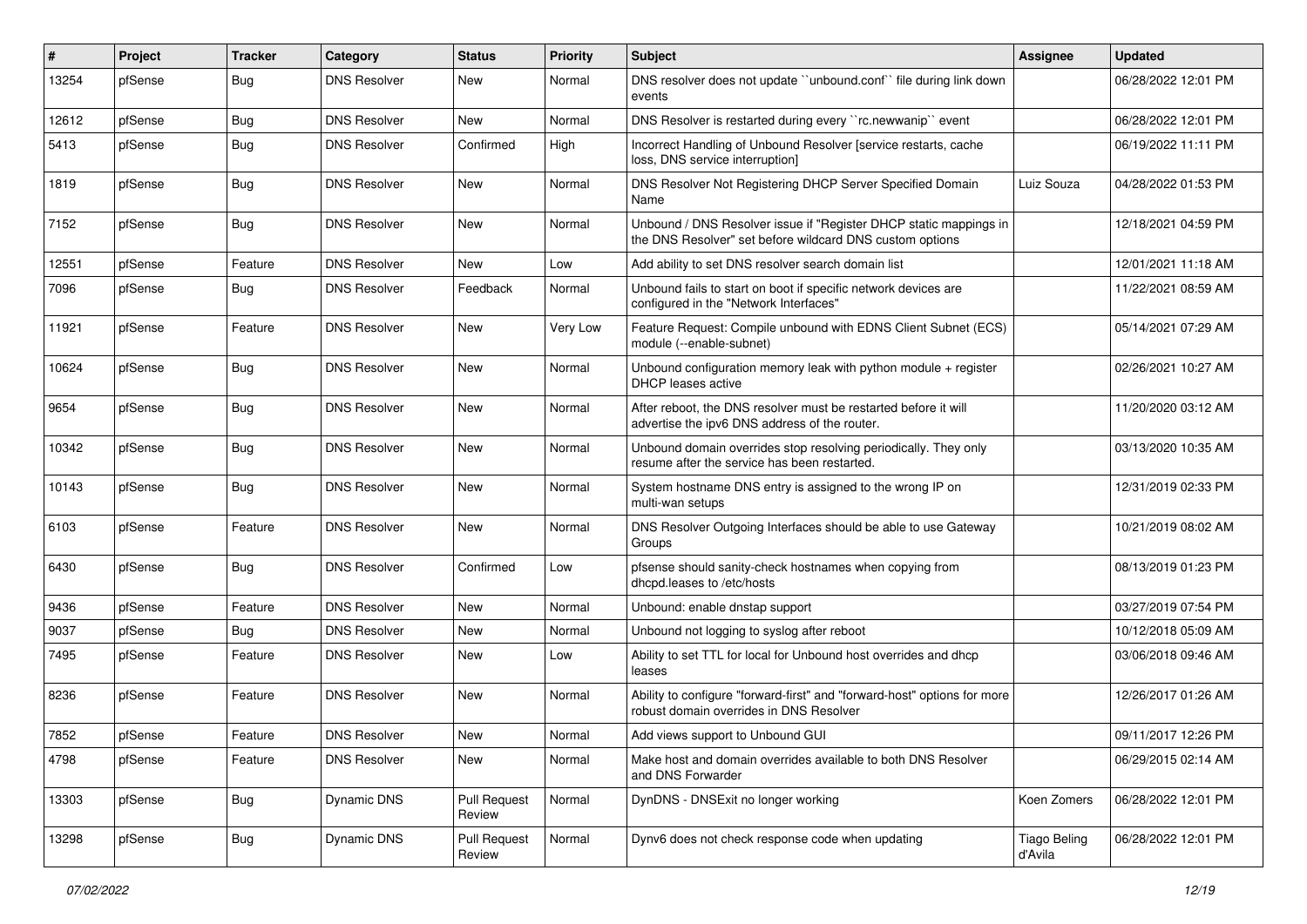| $\vert$ # | Project | <b>Tracker</b> | Category            | <b>Status</b>          | <b>Priority</b> | <b>Subject</b>                                                                                                                | <b>Assignee</b>                | <b>Updated</b>      |
|-----------|---------|----------------|---------------------|------------------------|-----------------|-------------------------------------------------------------------------------------------------------------------------------|--------------------------------|---------------------|
| 13254     | pfSense | Bug            | <b>DNS Resolver</b> | New                    | Normal          | DNS resolver does not update "unbound.conf" file during link down<br>events                                                   |                                | 06/28/2022 12:01 PM |
| 12612     | pfSense | <b>Bug</b>     | <b>DNS Resolver</b> | New                    | Normal          | DNS Resolver is restarted during every "rc.newwanip" event                                                                    |                                | 06/28/2022 12:01 PM |
| 5413      | pfSense | <b>Bug</b>     | <b>DNS Resolver</b> | Confirmed              | High            | Incorrect Handling of Unbound Resolver [service restarts, cache<br>loss, DNS service interruption]                            |                                | 06/19/2022 11:11 PM |
| 1819      | pfSense | <b>Bug</b>     | <b>DNS Resolver</b> | New                    | Normal          | DNS Resolver Not Registering DHCP Server Specified Domain<br>Name                                                             | Luiz Souza                     | 04/28/2022 01:53 PM |
| 7152      | pfSense | Bug            | <b>DNS Resolver</b> | New                    | Normal          | Unbound / DNS Resolver issue if "Register DHCP static mappings in<br>the DNS Resolver" set before wildcard DNS custom options |                                | 12/18/2021 04:59 PM |
| 12551     | pfSense | Feature        | <b>DNS Resolver</b> | New                    | Low             | Add ability to set DNS resolver search domain list                                                                            |                                | 12/01/2021 11:18 AM |
| 7096      | pfSense | <b>Bug</b>     | <b>DNS Resolver</b> | Feedback               | Normal          | Unbound fails to start on boot if specific network devices are<br>configured in the "Network Interfaces"                      |                                | 11/22/2021 08:59 AM |
| 11921     | pfSense | Feature        | <b>DNS Resolver</b> | <b>New</b>             | Very Low        | Feature Request: Compile unbound with EDNS Client Subnet (ECS)<br>module (--enable-subnet)                                    |                                | 05/14/2021 07:29 AM |
| 10624     | pfSense | Bug            | <b>DNS Resolver</b> | <b>New</b>             | Normal          | Unbound configuration memory leak with python module + register<br><b>DHCP</b> leases active                                  |                                | 02/26/2021 10:27 AM |
| 9654      | pfSense | Bug            | <b>DNS Resolver</b> | New                    | Normal          | After reboot, the DNS resolver must be restarted before it will<br>advertise the ipv6 DNS address of the router.              |                                | 11/20/2020 03:12 AM |
| 10342     | pfSense | Bug            | <b>DNS Resolver</b> | New                    | Normal          | Unbound domain overrides stop resolving periodically. They only<br>resume after the service has been restarted.               |                                | 03/13/2020 10:35 AM |
| 10143     | pfSense | Bug            | <b>DNS Resolver</b> | New                    | Normal          | System hostname DNS entry is assigned to the wrong IP on<br>multi-wan setups                                                  |                                | 12/31/2019 02:33 PM |
| 6103      | pfSense | Feature        | <b>DNS Resolver</b> | New                    | Normal          | DNS Resolver Outgoing Interfaces should be able to use Gateway<br>Groups                                                      |                                | 10/21/2019 08:02 AM |
| 6430      | pfSense | Bug            | <b>DNS Resolver</b> | Confirmed              | Low             | pfsense should sanity-check hostnames when copying from<br>dhcpd.leases to /etc/hosts                                         |                                | 08/13/2019 01:23 PM |
| 9436      | pfSense | Feature        | <b>DNS Resolver</b> | <b>New</b>             | Normal          | Unbound: enable dnstap support                                                                                                |                                | 03/27/2019 07:54 PM |
| 9037      | pfSense | <b>Bug</b>     | <b>DNS Resolver</b> | New                    | Normal          | Unbound not logging to syslog after reboot                                                                                    |                                | 10/12/2018 05:09 AM |
| 7495      | pfSense | Feature        | <b>DNS Resolver</b> | New                    | Low             | Ability to set TTL for local for Unbound host overrides and dhcp<br>leases                                                    |                                | 03/06/2018 09:46 AM |
| 8236      | pfSense | Feature        | <b>DNS Resolver</b> | New                    | Normal          | Ability to configure "forward-first" and "forward-host" options for more<br>robust domain overrides in DNS Resolver           |                                | 12/26/2017 01:26 AM |
| 7852      | pfSense | Feature        | <b>DNS Resolver</b> | New                    | Normal          | Add views support to Unbound GUI                                                                                              |                                | 09/11/2017 12:26 PM |
| 4798      | pfSense | Feature        | <b>DNS Resolver</b> | New                    | Normal          | Make host and domain overrides available to both DNS Resolver<br>and DNS Forwarder                                            |                                | 06/29/2015 02:14 AM |
| 13303     | pfSense | Bug            | Dynamic DNS         | Pull Request<br>Review | Normal          | DynDNS - DNSExit no longer working                                                                                            | Koen Zomers                    | 06/28/2022 12:01 PM |
| 13298     | pfSense | Bug            | Dynamic DNS         | Pull Request<br>Review | Normal          | Dynv6 does not check response code when updating                                                                              | <b>Tiago Beling</b><br>d'Avila | 06/28/2022 12:01 PM |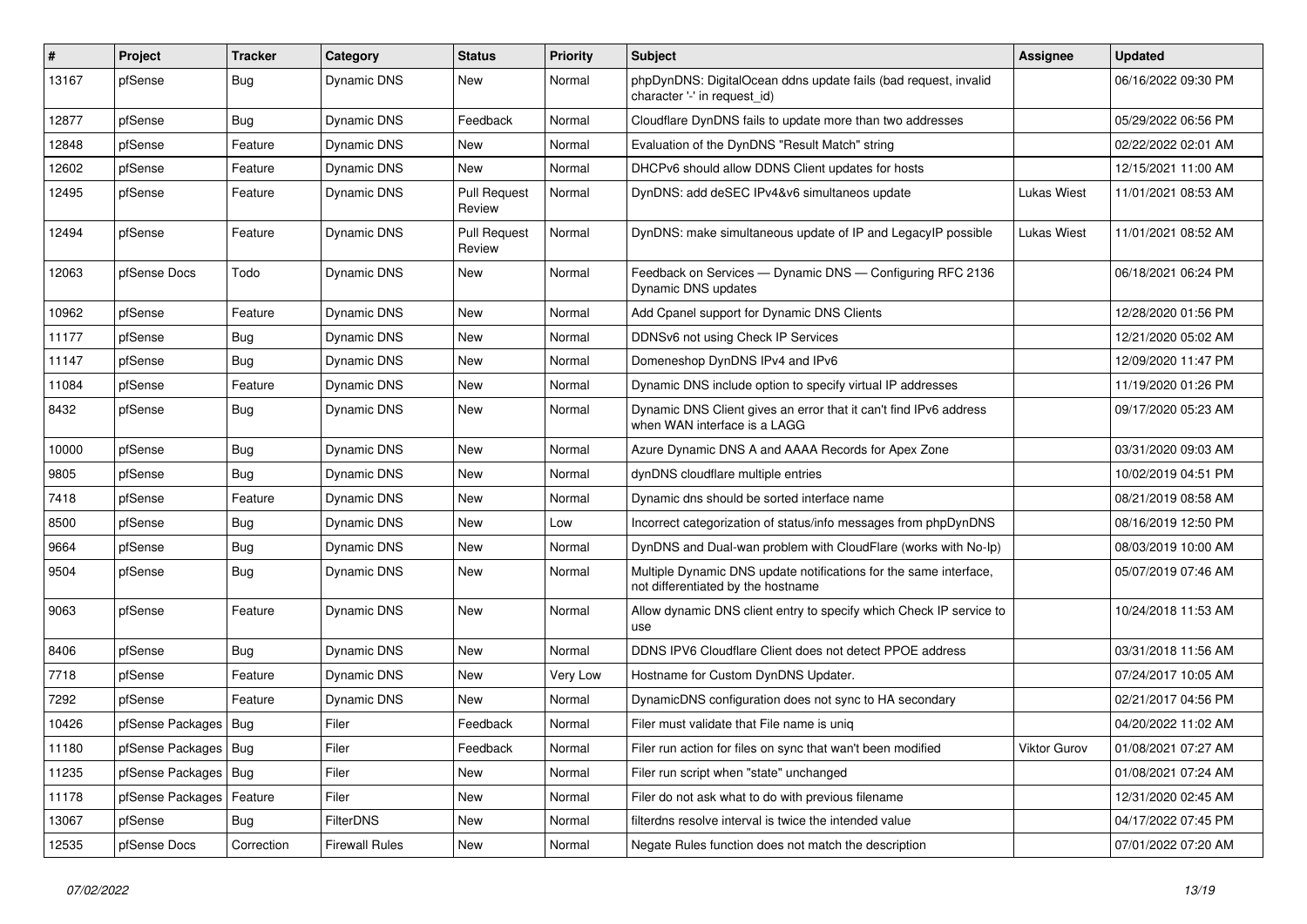| $\vert$ # | Project                | <b>Tracker</b> | Category              | <b>Status</b>                 | <b>Priority</b> | Subject                                                                                                 | Assignee     | <b>Updated</b>      |
|-----------|------------------------|----------------|-----------------------|-------------------------------|-----------------|---------------------------------------------------------------------------------------------------------|--------------|---------------------|
| 13167     | pfSense                | Bug            | Dynamic DNS           | New                           | Normal          | phpDynDNS: DigitalOcean ddns update fails (bad request, invalid<br>character '-' in request id)         |              | 06/16/2022 09:30 PM |
| 12877     | pfSense                | Bug            | Dynamic DNS           | Feedback                      | Normal          | Cloudflare DynDNS fails to update more than two addresses                                               |              | 05/29/2022 06:56 PM |
| 12848     | pfSense                | Feature        | Dynamic DNS           | <b>New</b>                    | Normal          | Evaluation of the DynDNS "Result Match" string                                                          |              | 02/22/2022 02:01 AM |
| 12602     | pfSense                | Feature        | <b>Dynamic DNS</b>    | New                           | Normal          | DHCPv6 should allow DDNS Client updates for hosts                                                       |              | 12/15/2021 11:00 AM |
| 12495     | pfSense                | Feature        | Dynamic DNS           | <b>Pull Request</b><br>Review | Normal          | DynDNS: add deSEC IPv4&v6 simultaneos update                                                            | Lukas Wiest  | 11/01/2021 08:53 AM |
| 12494     | pfSense                | Feature        | Dynamic DNS           | <b>Pull Request</b><br>Review | Normal          | DynDNS: make simultaneous update of IP and LegacyIP possible                                            | Lukas Wiest  | 11/01/2021 08:52 AM |
| 12063     | pfSense Docs           | Todo           | Dynamic DNS           | New                           | Normal          | Feedback on Services - Dynamic DNS - Configuring RFC 2136<br><b>Dynamic DNS updates</b>                 |              | 06/18/2021 06:24 PM |
| 10962     | pfSense                | Feature        | Dynamic DNS           | New                           | Normal          | Add Cpanel support for Dynamic DNS Clients                                                              |              | 12/28/2020 01:56 PM |
| 11177     | pfSense                | Bug            | Dynamic DNS           | New                           | Normal          | DDNSv6 not using Check IP Services                                                                      |              | 12/21/2020 05:02 AM |
| 11147     | pfSense                | <b>Bug</b>     | Dynamic DNS           | New                           | Normal          | Domeneshop DynDNS IPv4 and IPv6                                                                         |              | 12/09/2020 11:47 PM |
| 11084     | pfSense                | Feature        | Dynamic DNS           | New                           | Normal          | Dynamic DNS include option to specify virtual IP addresses                                              |              | 11/19/2020 01:26 PM |
| 8432      | pfSense                | Bug            | Dynamic DNS           | New                           | Normal          | Dynamic DNS Client gives an error that it can't find IPv6 address<br>when WAN interface is a LAGG       |              | 09/17/2020 05:23 AM |
| 10000     | pfSense                | Bug            | <b>Dynamic DNS</b>    | New                           | Normal          | Azure Dynamic DNS A and AAAA Records for Apex Zone                                                      |              | 03/31/2020 09:03 AM |
| 9805      | pfSense                | Bug            | Dynamic DNS           | New                           | Normal          | dynDNS cloudflare multiple entries                                                                      |              | 10/02/2019 04:51 PM |
| 7418      | pfSense                | Feature        | Dynamic DNS           | <b>New</b>                    | Normal          | Dynamic dns should be sorted interface name                                                             |              | 08/21/2019 08:58 AM |
| 8500      | pfSense                | Bug            | Dynamic DNS           | New                           | Low             | Incorrect categorization of status/info messages from phpDynDNS                                         |              | 08/16/2019 12:50 PM |
| 9664      | pfSense                | <b>Bug</b>     | Dynamic DNS           | New                           | Normal          | DynDNS and Dual-wan problem with CloudFlare (works with No-Ip)                                          |              | 08/03/2019 10:00 AM |
| 9504      | pfSense                | Bug            | Dynamic DNS           | New                           | Normal          | Multiple Dynamic DNS update notifications for the same interface,<br>not differentiated by the hostname |              | 05/07/2019 07:46 AM |
| 9063      | pfSense                | Feature        | <b>Dynamic DNS</b>    | New                           | Normal          | Allow dynamic DNS client entry to specify which Check IP service to<br>use                              |              | 10/24/2018 11:53 AM |
| 8406      | pfSense                | <b>Bug</b>     | Dynamic DNS           | New                           | Normal          | DDNS IPV6 Cloudflare Client does not detect PPOE address                                                |              | 03/31/2018 11:56 AM |
| 7718      | pfSense                | Feature        | <b>Dynamic DNS</b>    | New                           | Very Low        | Hostname for Custom DynDNS Updater.                                                                     |              | 07/24/2017 10:05 AM |
| 7292      | pfSense                | Feature        | <b>Dynamic DNS</b>    | New                           | Normal          | DynamicDNS configuration does not sync to HA secondary                                                  |              | 02/21/2017 04:56 PM |
| 10426     | pfSense Packages   Bug |                | Filer                 | Feedback                      | Normal          | Filer must validate that File name is uniq                                                              |              | 04/20/2022 11:02 AM |
| 11180     | pfSense Packages   Bug |                | Filer                 | Feedback                      | Normal          | Filer run action for files on sync that wan't been modified                                             | Viktor Gurov | 01/08/2021 07:27 AM |
| 11235     | pfSense Packages       | Bug            | Filer                 | New                           | Normal          | Filer run script when "state" unchanged                                                                 |              | 01/08/2021 07:24 AM |
| 11178     | pfSense Packages       | Feature        | Filer                 | New                           | Normal          | Filer do not ask what to do with previous filename                                                      |              | 12/31/2020 02:45 AM |
| 13067     | pfSense                | <b>Bug</b>     | <b>FilterDNS</b>      | New                           | Normal          | filterdns resolve interval is twice the intended value                                                  |              | 04/17/2022 07:45 PM |
| 12535     | pfSense Docs           | Correction     | <b>Firewall Rules</b> | New                           | Normal          | Negate Rules function does not match the description                                                    |              | 07/01/2022 07:20 AM |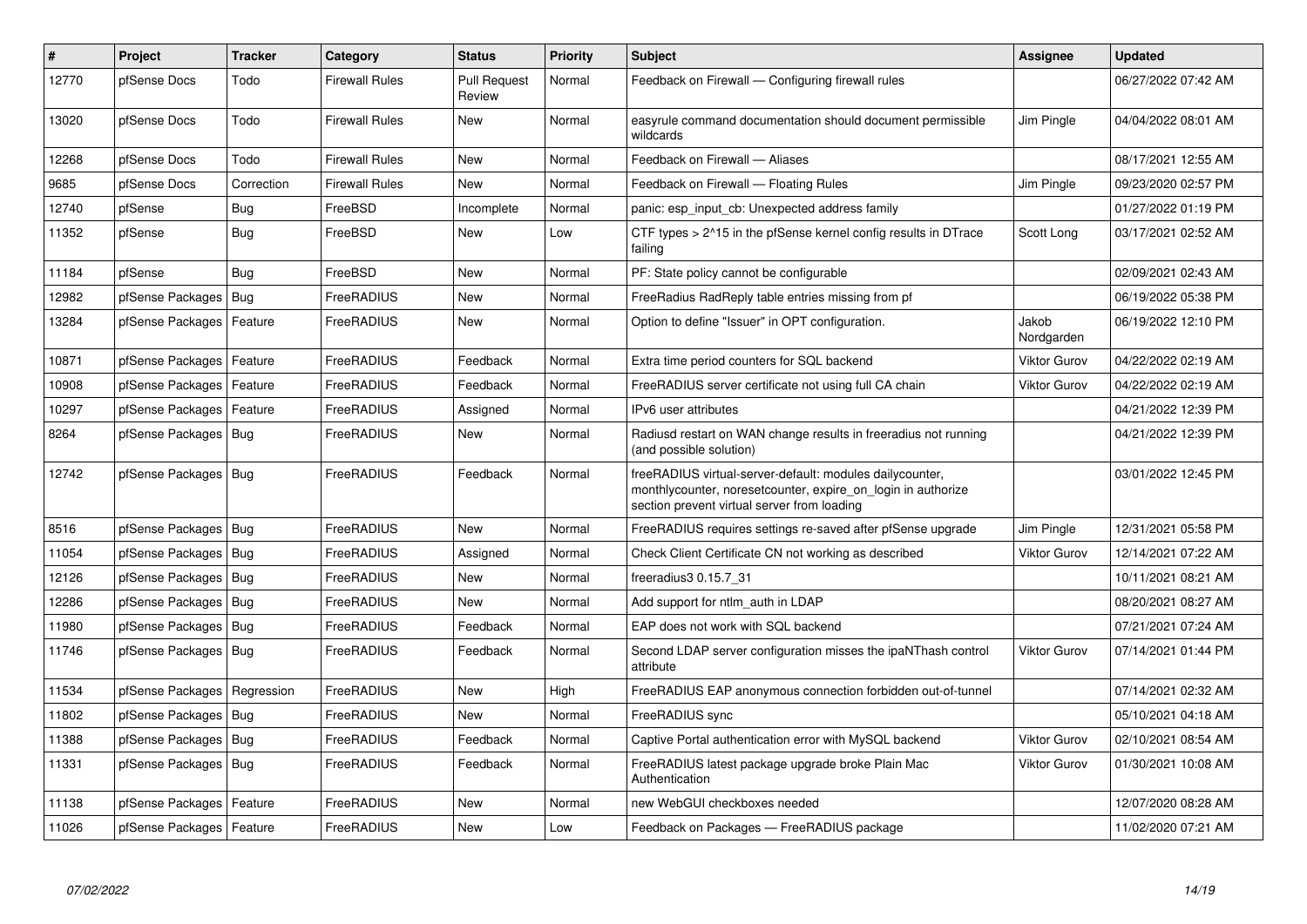| #     | Project                    | <b>Tracker</b> | Category              | <b>Status</b>                 | <b>Priority</b> | <b>Subject</b>                                                                                                                                                          | Assignee            | <b>Updated</b>      |
|-------|----------------------------|----------------|-----------------------|-------------------------------|-----------------|-------------------------------------------------------------------------------------------------------------------------------------------------------------------------|---------------------|---------------------|
| 12770 | pfSense Docs               | Todo           | Firewall Rules        | <b>Pull Request</b><br>Review | Normal          | Feedback on Firewall - Configuring firewall rules                                                                                                                       |                     | 06/27/2022 07:42 AM |
| 13020 | pfSense Docs               | Todo           | Firewall Rules        | New                           | Normal          | easyrule command documentation should document permissible<br>wildcards                                                                                                 | Jim Pingle          | 04/04/2022 08:01 AM |
| 12268 | pfSense Docs               | Todo           | <b>Firewall Rules</b> | <b>New</b>                    | Normal          | Feedback on Firewall - Aliases                                                                                                                                          |                     | 08/17/2021 12:55 AM |
| 9685  | pfSense Docs               | Correction     | Firewall Rules        | <b>New</b>                    | Normal          | Feedback on Firewall - Floating Rules                                                                                                                                   | Jim Pingle          | 09/23/2020 02:57 PM |
| 12740 | pfSense                    | <b>Bug</b>     | FreeBSD               | Incomplete                    | Normal          | panic: esp_input_cb: Unexpected address family                                                                                                                          |                     | 01/27/2022 01:19 PM |
| 11352 | pfSense                    | <b>Bug</b>     | FreeBSD               | New                           | Low             | CTF types > 2^15 in the pfSense kernel config results in DTrace<br>failing                                                                                              | Scott Long          | 03/17/2021 02:52 AM |
| 11184 | pfSense                    | Bug            | FreeBSD               | <b>New</b>                    | Normal          | PF: State policy cannot be configurable                                                                                                                                 |                     | 02/09/2021 02:43 AM |
| 12982 | pfSense Packages   Bug     |                | FreeRADIUS            | <b>New</b>                    | Normal          | FreeRadius RadReply table entries missing from pf                                                                                                                       |                     | 06/19/2022 05:38 PM |
| 13284 | pfSense Packages           | Feature        | FreeRADIUS            | <b>New</b>                    | Normal          | Option to define "Issuer" in OPT configuration.                                                                                                                         | Jakob<br>Nordgarden | 06/19/2022 12:10 PM |
| 10871 | pfSense Packages   Feature |                | FreeRADIUS            | Feedback                      | Normal          | Extra time period counters for SQL backend                                                                                                                              | <b>Viktor Gurov</b> | 04/22/2022 02:19 AM |
| 10908 | pfSense Packages           | Feature        | FreeRADIUS            | Feedback                      | Normal          | FreeRADIUS server certificate not using full CA chain                                                                                                                   | <b>Viktor Gurov</b> | 04/22/2022 02:19 AM |
| 10297 | pfSense Packages           | Feature        | FreeRADIUS            | Assigned                      | Normal          | IPv6 user attributes                                                                                                                                                    |                     | 04/21/2022 12:39 PM |
| 8264  | pfSense Packages   Bug     |                | FreeRADIUS            | New                           | Normal          | Radiusd restart on WAN change results in freeradius not running<br>(and possible solution)                                                                              |                     | 04/21/2022 12:39 PM |
| 12742 | pfSense Packages   Bug     |                | FreeRADIUS            | Feedback                      | Normal          | freeRADIUS virtual-server-default: modules dailycounter,<br>monthlycounter, noresetcounter, expire on login in authorize<br>section prevent virtual server from loading |                     | 03/01/2022 12:45 PM |
| 8516  | pfSense Packages   Bug     |                | FreeRADIUS            | <b>New</b>                    | Normal          | FreeRADIUS requires settings re-saved after pfSense upgrade                                                                                                             | Jim Pingle          | 12/31/2021 05:58 PM |
| 11054 | pfSense Packages   Bug     |                | FreeRADIUS            | Assigned                      | Normal          | Check Client Certificate CN not working as described                                                                                                                    | <b>Viktor Gurov</b> | 12/14/2021 07:22 AM |
| 12126 | pfSense Packages   Bug     |                | FreeRADIUS            | New                           | Normal          | freeradius3 0.15.7_31                                                                                                                                                   |                     | 10/11/2021 08:21 AM |
| 12286 | pfSense Packages   Bug     |                | <b>FreeRADIUS</b>     | <b>New</b>                    | Normal          | Add support for ntlm auth in LDAP                                                                                                                                       |                     | 08/20/2021 08:27 AM |
| 11980 | pfSense Packages   Bug     |                | <b>FreeRADIUS</b>     | Feedback                      | Normal          | EAP does not work with SQL backend                                                                                                                                      |                     | 07/21/2021 07:24 AM |
| 11746 | pfSense Packages   Bug     |                | FreeRADIUS            | Feedback                      | Normal          | Second LDAP server configuration misses the ipaNThash control<br>attribute                                                                                              | <b>Viktor Gurov</b> | 07/14/2021 01:44 PM |
| 11534 | pfSense Packages           | Regression     | FreeRADIUS            | <b>New</b>                    | High            | FreeRADIUS EAP anonymous connection forbidden out-of-tunnel                                                                                                             |                     | 07/14/2021 02:32 AM |
| 11802 | pfSense Packages   Bug     |                | FreeRADIUS            | New                           | Normal          | FreeRADIUS sync                                                                                                                                                         |                     | 05/10/2021 04:18 AM |
| 11388 | pfSense Packages   Bug     |                | FreeRADIUS            | Feedback                      | Normal          | Captive Portal authentication error with MySQL backend                                                                                                                  | <b>Viktor Gurov</b> | 02/10/2021 08:54 AM |
| 11331 | pfSense Packages   Bug     |                | FreeRADIUS            | Feedback                      | Normal          | FreeRADIUS latest package upgrade broke Plain Mac<br>Authentication                                                                                                     | <b>Viktor Gurov</b> | 01/30/2021 10:08 AM |
| 11138 | pfSense Packages   Feature |                | FreeRADIUS            | <b>New</b>                    | Normal          | new WebGUI checkboxes needed                                                                                                                                            |                     | 12/07/2020 08:28 AM |
| 11026 | pfSense Packages   Feature |                | FreeRADIUS            | <b>New</b>                    | Low             | Feedback on Packages - FreeRADIUS package                                                                                                                               |                     | 11/02/2020 07:21 AM |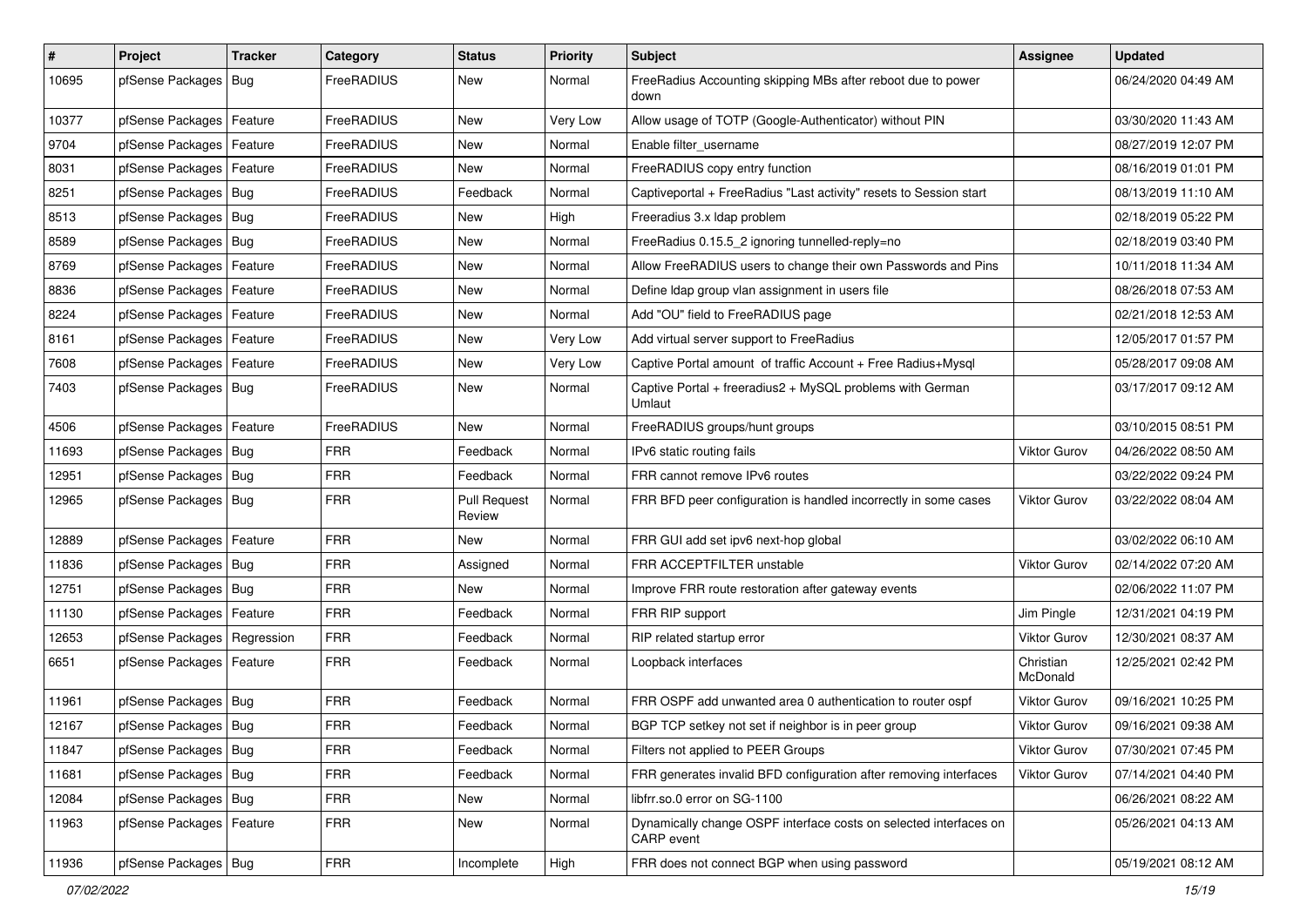| $\sharp$ | Project                       | <b>Tracker</b> | Category          | <b>Status</b>                 | <b>Priority</b> | Subject                                                                         | Assignee              | <b>Updated</b>      |
|----------|-------------------------------|----------------|-------------------|-------------------------------|-----------------|---------------------------------------------------------------------------------|-----------------------|---------------------|
| 10695    | pfSense Packages   Bug        |                | FreeRADIUS        | New                           | Normal          | FreeRadius Accounting skipping MBs after reboot due to power<br>down            |                       | 06/24/2020 04:49 AM |
| 10377    | pfSense Packages   Feature    |                | FreeRADIUS        | New                           | Very Low        | Allow usage of TOTP (Google-Authenticator) without PIN                          |                       | 03/30/2020 11:43 AM |
| 9704     | pfSense Packages   Feature    |                | FreeRADIUS        | New                           | Normal          | Enable filter_username                                                          |                       | 08/27/2019 12:07 PM |
| 8031     | pfSense Packages   Feature    |                | FreeRADIUS        | <b>New</b>                    | Normal          | FreeRADIUS copy entry function                                                  |                       | 08/16/2019 01:01 PM |
| 8251     | pfSense Packages   Bug        |                | FreeRADIUS        | Feedback                      | Normal          | Captiveportal + FreeRadius "Last activity" resets to Session start              |                       | 08/13/2019 11:10 AM |
| 8513     | pfSense Packages   Bug        |                | FreeRADIUS        | New                           | High            | Freeradius 3.x Idap problem                                                     |                       | 02/18/2019 05:22 PM |
| 8589     | pfSense Packages   Bug        |                | FreeRADIUS        | New                           | Normal          | FreeRadius 0.15.5_2 ignoring tunnelled-reply=no                                 |                       | 02/18/2019 03:40 PM |
| 8769     | pfSense Packages   Feature    |                | FreeRADIUS        | New                           | Normal          | Allow FreeRADIUS users to change their own Passwords and Pins                   |                       | 10/11/2018 11:34 AM |
| 8836     | pfSense Packages   Feature    |                | FreeRADIUS        | New                           | Normal          | Define Idap group vlan assignment in users file                                 |                       | 08/26/2018 07:53 AM |
| 8224     | pfSense Packages   Feature    |                | FreeRADIUS        | New                           | Normal          | Add "OU" field to FreeRADIUS page                                               |                       | 02/21/2018 12:53 AM |
| 8161     | pfSense Packages   Feature    |                | FreeRADIUS        | New                           | Very Low        | Add virtual server support to FreeRadius                                        |                       | 12/05/2017 01:57 PM |
| 7608     | pfSense Packages   Feature    |                | FreeRADIUS        | <b>New</b>                    | Very Low        | Captive Portal amount of traffic Account + Free Radius+Mysql                    |                       | 05/28/2017 09:08 AM |
| 7403     | pfSense Packages   Bug        |                | FreeRADIUS        | New                           | Normal          | Captive Portal + freeradius2 + MySQL problems with German<br>Umlaut             |                       | 03/17/2017 09:12 AM |
| 4506     | pfSense Packages   Feature    |                | <b>FreeRADIUS</b> | New                           | Normal          | FreeRADIUS groups/hunt groups                                                   |                       | 03/10/2015 08:51 PM |
| 11693    | pfSense Packages   Bug        |                | <b>FRR</b>        | Feedback                      | Normal          | IPv6 static routing fails                                                       | Viktor Gurov          | 04/26/2022 08:50 AM |
| 12951    | pfSense Packages   Bug        |                | <b>FRR</b>        | Feedback                      | Normal          | FRR cannot remove IPv6 routes                                                   |                       | 03/22/2022 09:24 PM |
| 12965    | pfSense Packages   Bug        |                | <b>FRR</b>        | <b>Pull Request</b><br>Review | Normal          | FRR BFD peer configuration is handled incorrectly in some cases                 | <b>Viktor Gurov</b>   | 03/22/2022 08:04 AM |
| 12889    | pfSense Packages   Feature    |                | <b>FRR</b>        | <b>New</b>                    | Normal          | FRR GUI add set ipv6 next-hop global                                            |                       | 03/02/2022 06:10 AM |
| 11836    | pfSense Packages   Bug        |                | <b>FRR</b>        | Assigned                      | Normal          | FRR ACCEPTFILTER unstable                                                       | Viktor Gurov          | 02/14/2022 07:20 AM |
| 12751    | pfSense Packages   Bug        |                | <b>FRR</b>        | <b>New</b>                    | Normal          | Improve FRR route restoration after gateway events                              |                       | 02/06/2022 11:07 PM |
| 11130    | pfSense Packages   Feature    |                | <b>FRR</b>        | Feedback                      | Normal          | FRR RIP support                                                                 | Jim Pingle            | 12/31/2021 04:19 PM |
| 12653    | pfSense Packages   Regression |                | <b>FRR</b>        | Feedback                      | Normal          | RIP related startup error                                                       | <b>Viktor Gurov</b>   | 12/30/2021 08:37 AM |
| 6651     | pfSense Packages   Feature    |                | <b>FRR</b>        | Feedback                      | Normal          | Loopback interfaces                                                             | Christian<br>McDonald | 12/25/2021 02:42 PM |
| 11961    | pfSense Packages   Bug        |                | <b>FRR</b>        | Feedback                      | Normal          | FRR OSPF add unwanted area 0 authentication to router ospf                      | Viktor Gurov          | 09/16/2021 10:25 PM |
| 12167    | pfSense Packages   Bug        |                | <b>FRR</b>        | Feedback                      | Normal          | BGP TCP setkey not set if neighbor is in peer group                             | Viktor Gurov          | 09/16/2021 09:38 AM |
| 11847    | pfSense Packages   Bug        |                | <b>FRR</b>        | Feedback                      | Normal          | Filters not applied to PEER Groups                                              | Viktor Gurov          | 07/30/2021 07:45 PM |
| 11681    | pfSense Packages   Bug        |                | <b>FRR</b>        | Feedback                      | Normal          | FRR generates invalid BFD configuration after removing interfaces               | Viktor Gurov          | 07/14/2021 04:40 PM |
| 12084    | pfSense Packages   Bug        |                | <b>FRR</b>        | New                           | Normal          | libfrr.so.0 error on SG-1100                                                    |                       | 06/26/2021 08:22 AM |
| 11963    | pfSense Packages   Feature    |                | <b>FRR</b>        | New                           | Normal          | Dynamically change OSPF interface costs on selected interfaces on<br>CARP event |                       | 05/26/2021 04:13 AM |
| 11936    | pfSense Packages   Bug        |                | <b>FRR</b>        | Incomplete                    | High            | FRR does not connect BGP when using password                                    |                       | 05/19/2021 08:12 AM |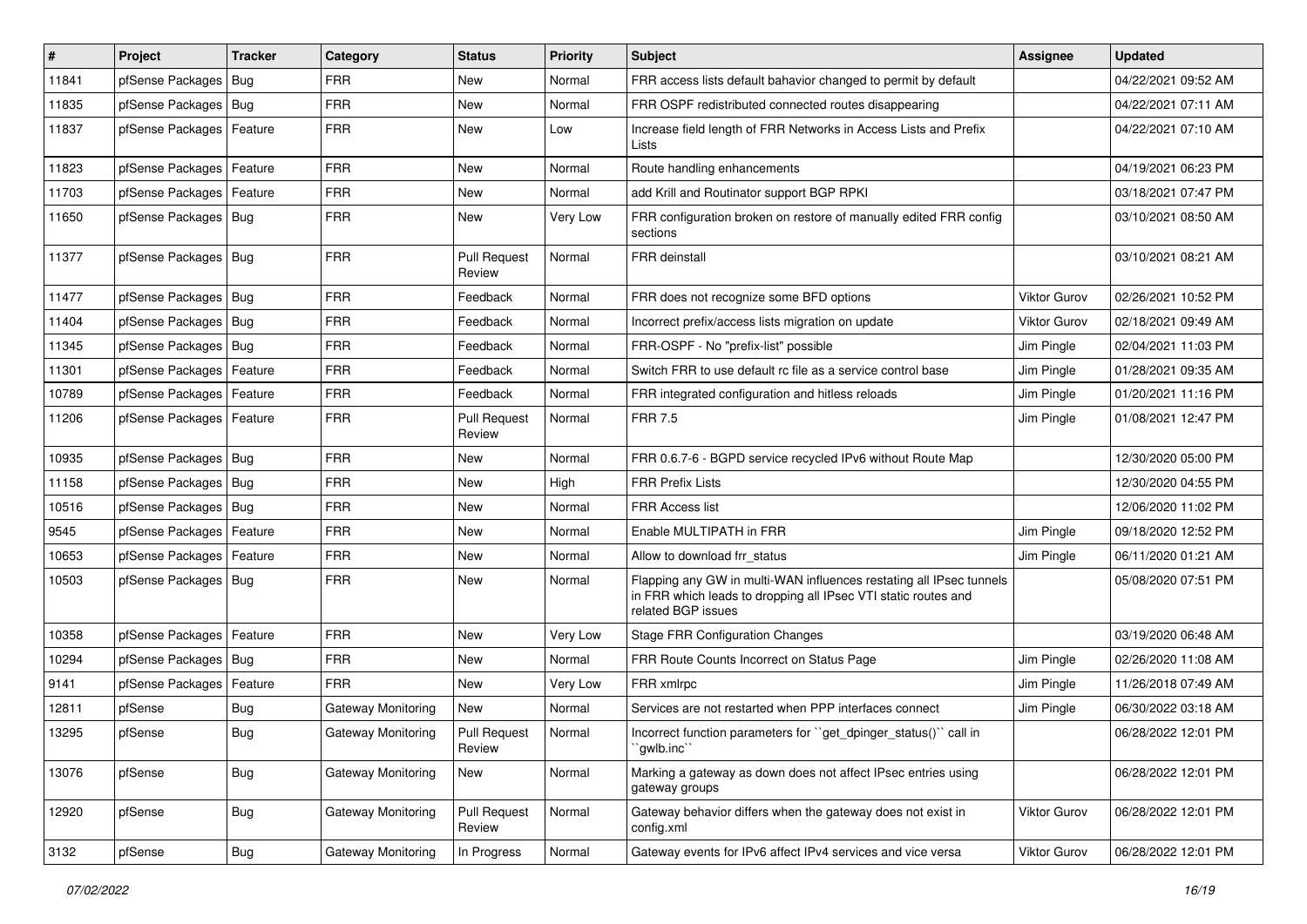| #     | Project                    | <b>Tracker</b> | Category           | <b>Status</b>                 | <b>Priority</b> | <b>Subject</b>                                                                                                                                              | <b>Assignee</b>     | <b>Updated</b>      |
|-------|----------------------------|----------------|--------------------|-------------------------------|-----------------|-------------------------------------------------------------------------------------------------------------------------------------------------------------|---------------------|---------------------|
| 11841 | pfSense Packages   Bug     |                | <b>FRR</b>         | New                           | Normal          | FRR access lists default bahavior changed to permit by default                                                                                              |                     | 04/22/2021 09:52 AM |
| 11835 | pfSense Packages   Bug     |                | <b>FRR</b>         | <b>New</b>                    | Normal          | FRR OSPF redistributed connected routes disappearing                                                                                                        |                     | 04/22/2021 07:11 AM |
| 11837 | pfSense Packages   Feature |                | <b>FRR</b>         | New                           | Low             | Increase field length of FRR Networks in Access Lists and Prefix<br>Lists                                                                                   |                     | 04/22/2021 07:10 AM |
| 11823 | pfSense Packages   Feature |                | <b>FRR</b>         | <b>New</b>                    | Normal          | Route handling enhancements                                                                                                                                 |                     | 04/19/2021 06:23 PM |
| 11703 | pfSense Packages           | Feature        | <b>FRR</b>         | New                           | Normal          | add Krill and Routinator support BGP RPKI                                                                                                                   |                     | 03/18/2021 07:47 PM |
| 11650 | pfSense Packages   Bug     |                | <b>FRR</b>         | New                           | Very Low        | FRR configuration broken on restore of manually edited FRR config<br>sections                                                                               |                     | 03/10/2021 08:50 AM |
| 11377 | pfSense Packages   Bug     |                | <b>FRR</b>         | <b>Pull Request</b><br>Review | Normal          | <b>FRR</b> deinstall                                                                                                                                        |                     | 03/10/2021 08:21 AM |
| 11477 | pfSense Packages   Bug     |                | <b>FRR</b>         | Feedback                      | Normal          | FRR does not recognize some BFD options                                                                                                                     | Viktor Gurov        | 02/26/2021 10:52 PM |
| 11404 | pfSense Packages   Bug     |                | <b>FRR</b>         | Feedback                      | Normal          | Incorrect prefix/access lists migration on update                                                                                                           | <b>Viktor Gurov</b> | 02/18/2021 09:49 AM |
| 11345 | pfSense Packages   Bug     |                | <b>FRR</b>         | Feedback                      | Normal          | FRR-OSPF - No "prefix-list" possible                                                                                                                        | Jim Pingle          | 02/04/2021 11:03 PM |
| 11301 | pfSense Packages   Feature |                | <b>FRR</b>         | Feedback                      | Normal          | Switch FRR to use default rc file as a service control base                                                                                                 | Jim Pingle          | 01/28/2021 09:35 AM |
| 10789 | pfSense Packages   Feature |                | <b>FRR</b>         | Feedback                      | Normal          | FRR integrated configuration and hitless reloads                                                                                                            | Jim Pingle          | 01/20/2021 11:16 PM |
| 11206 | pfSense Packages   Feature |                | <b>FRR</b>         | <b>Pull Request</b><br>Review | Normal          | <b>FRR 7.5</b>                                                                                                                                              | Jim Pingle          | 01/08/2021 12:47 PM |
| 10935 | pfSense Packages   Bug     |                | <b>FRR</b>         | <b>New</b>                    | Normal          | FRR 0.6.7-6 - BGPD service recycled IPv6 without Route Map                                                                                                  |                     | 12/30/2020 05:00 PM |
| 11158 | pfSense Packages   Bug     |                | <b>FRR</b>         | New                           | High            | <b>FRR Prefix Lists</b>                                                                                                                                     |                     | 12/30/2020 04:55 PM |
| 10516 | pfSense Packages   Bug     |                | <b>FRR</b>         | New                           | Normal          | <b>FRR Access list</b>                                                                                                                                      |                     | 12/06/2020 11:02 PM |
| 9545  | pfSense Packages   Feature |                | <b>FRR</b>         | <b>New</b>                    | Normal          | Enable MULTIPATH in FRR                                                                                                                                     | Jim Pingle          | 09/18/2020 12:52 PM |
| 10653 | pfSense Packages   Feature |                | <b>FRR</b>         | New                           | Normal          | Allow to download frr status                                                                                                                                | Jim Pingle          | 06/11/2020 01:21 AM |
| 10503 | pfSense Packages   Bug     |                | <b>FRR</b>         | New                           | Normal          | Flapping any GW in multi-WAN influences restating all IPsec tunnels<br>in FRR which leads to dropping all IPsec VTI static routes and<br>related BGP issues |                     | 05/08/2020 07:51 PM |
| 10358 | pfSense Packages           | Feature        | <b>FRR</b>         | <b>New</b>                    | Very Low        | <b>Stage FRR Configuration Changes</b>                                                                                                                      |                     | 03/19/2020 06:48 AM |
| 10294 | pfSense Packages   Bug     |                | <b>FRR</b>         | New                           | Normal          | FRR Route Counts Incorrect on Status Page                                                                                                                   | Jim Pingle          | 02/26/2020 11:08 AM |
| 9141  | pfSense Packages   Feature |                | <b>FRR</b>         | New                           | Very Low        | FRR xmlrpc                                                                                                                                                  | Jim Pingle          | 11/26/2018 07:49 AM |
| 12811 | pfSense                    | Bug            | Gateway Monitoring | <b>New</b>                    | Normal          | Services are not restarted when PPP interfaces connect                                                                                                      | Jim Pingle          | 06/30/2022 03:18 AM |
| 13295 | pfSense                    | Bug            | Gateway Monitoring | <b>Pull Request</b><br>Review | Normal          | Incorrect function parameters for "get_dpinger_status()" call in<br>`gwlb.inc``                                                                             |                     | 06/28/2022 12:01 PM |
| 13076 | pfSense                    | <b>Bug</b>     | Gateway Monitoring | New                           | Normal          | Marking a gateway as down does not affect IPsec entries using<br>gateway groups                                                                             |                     | 06/28/2022 12:01 PM |
| 12920 | pfSense                    | <b>Bug</b>     | Gateway Monitoring | <b>Pull Request</b><br>Review | Normal          | Gateway behavior differs when the gateway does not exist in<br>config.xml                                                                                   | Viktor Gurov        | 06/28/2022 12:01 PM |
| 3132  | pfSense                    | <b>Bug</b>     | Gateway Monitoring | In Progress                   | Normal          | Gateway events for IPv6 affect IPv4 services and vice versa                                                                                                 | Viktor Gurov        | 06/28/2022 12:01 PM |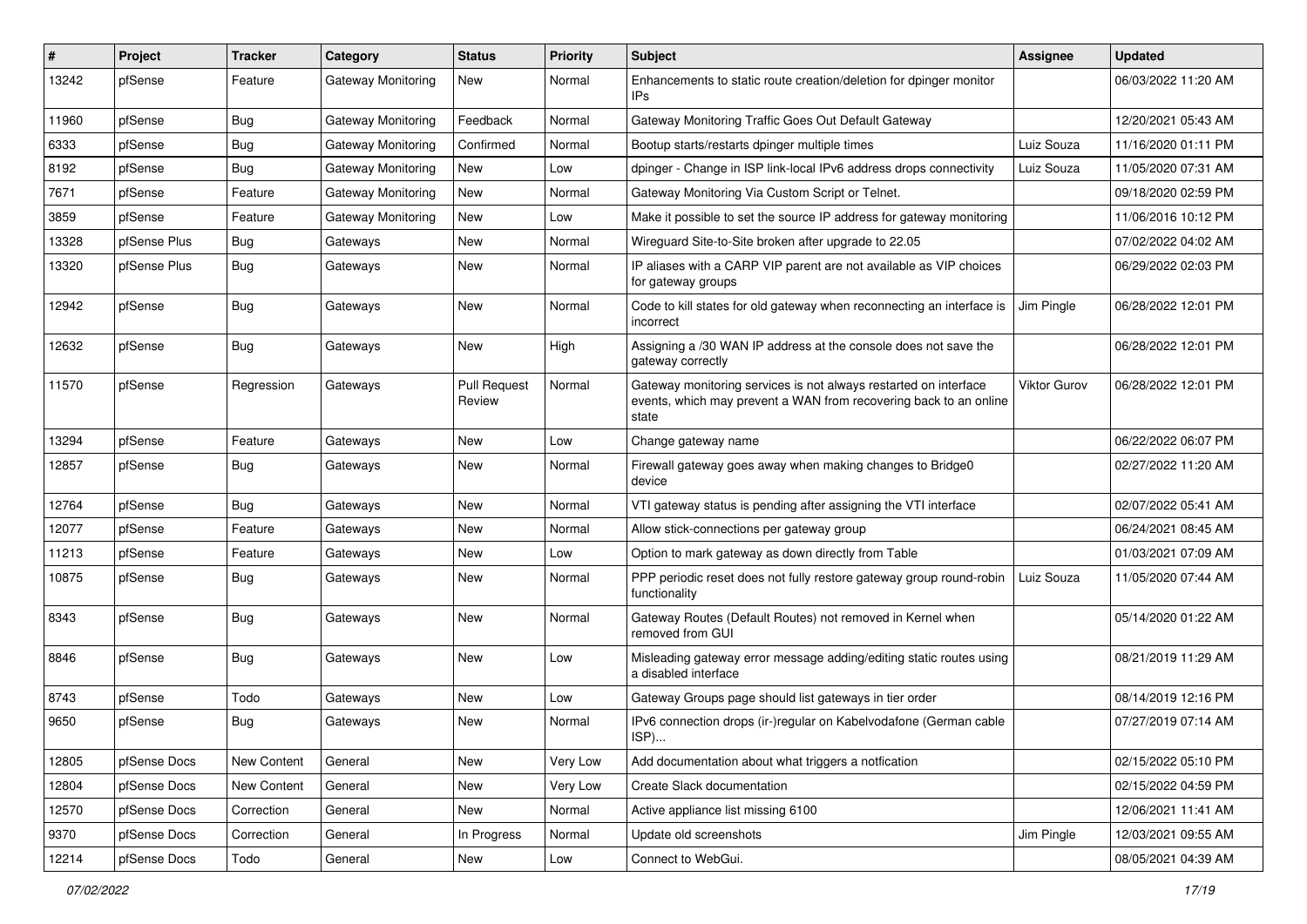| $\vert$ # | Project      | Tracker     | Category                  | <b>Status</b>                 | <b>Priority</b> | Subject                                                                                                                                        | <b>Assignee</b> | <b>Updated</b>      |
|-----------|--------------|-------------|---------------------------|-------------------------------|-----------------|------------------------------------------------------------------------------------------------------------------------------------------------|-----------------|---------------------|
| 13242     | pfSense      | Feature     | <b>Gateway Monitoring</b> | New                           | Normal          | Enhancements to static route creation/deletion for dpinger monitor<br>IPs                                                                      |                 | 06/03/2022 11:20 AM |
| 11960     | pfSense      | Bug         | Gateway Monitoring        | Feedback                      | Normal          | Gateway Monitoring Traffic Goes Out Default Gateway                                                                                            |                 | 12/20/2021 05:43 AM |
| 6333      | pfSense      | <b>Bug</b>  | <b>Gateway Monitoring</b> | Confirmed                     | Normal          | Bootup starts/restarts dpinger multiple times                                                                                                  | Luiz Souza      | 11/16/2020 01:11 PM |
| 8192      | pfSense      | <b>Bug</b>  | <b>Gateway Monitoring</b> | New                           | Low             | dpinger - Change in ISP link-local IPv6 address drops connectivity                                                                             | Luiz Souza      | 11/05/2020 07:31 AM |
| 7671      | pfSense      | Feature     | <b>Gateway Monitoring</b> | New                           | Normal          | Gateway Monitoring Via Custom Script or Telnet.                                                                                                |                 | 09/18/2020 02:59 PM |
| 3859      | pfSense      | Feature     | Gateway Monitoring        | New                           | Low             | Make it possible to set the source IP address for gateway monitoring                                                                           |                 | 11/06/2016 10:12 PM |
| 13328     | pfSense Plus | <b>Bug</b>  | Gateways                  | New                           | Normal          | Wireguard Site-to-Site broken after upgrade to 22.05                                                                                           |                 | 07/02/2022 04:02 AM |
| 13320     | pfSense Plus | <b>Bug</b>  | Gateways                  | New                           | Normal          | IP aliases with a CARP VIP parent are not available as VIP choices<br>for gateway groups                                                       |                 | 06/29/2022 02:03 PM |
| 12942     | pfSense      | <b>Bug</b>  | Gateways                  | New                           | Normal          | Code to kill states for old gateway when reconnecting an interface is<br>incorrect                                                             | Jim Pingle      | 06/28/2022 12:01 PM |
| 12632     | pfSense      | <b>Bug</b>  | Gateways                  | <b>New</b>                    | High            | Assigning a /30 WAN IP address at the console does not save the<br>gateway correctly                                                           |                 | 06/28/2022 12:01 PM |
| 11570     | pfSense      | Regression  | Gateways                  | <b>Pull Request</b><br>Review | Normal          | Gateway monitoring services is not always restarted on interface<br>events, which may prevent a WAN from recovering back to an online<br>state | Viktor Gurov    | 06/28/2022 12:01 PM |
| 13294     | pfSense      | Feature     | Gateways                  | New                           | Low             | Change gateway name                                                                                                                            |                 | 06/22/2022 06:07 PM |
| 12857     | pfSense      | <b>Bug</b>  | Gateways                  | New                           | Normal          | Firewall gateway goes away when making changes to Bridge0<br>device                                                                            |                 | 02/27/2022 11:20 AM |
| 12764     | pfSense      | Bug         | Gateways                  | <b>New</b>                    | Normal          | VTI gateway status is pending after assigning the VTI interface                                                                                |                 | 02/07/2022 05:41 AM |
| 12077     | pfSense      | Feature     | Gateways                  | New                           | Normal          | Allow stick-connections per gateway group                                                                                                      |                 | 06/24/2021 08:45 AM |
| 11213     | pfSense      | Feature     | Gateways                  | New                           | Low             | Option to mark gateway as down directly from Table                                                                                             |                 | 01/03/2021 07:09 AM |
| 10875     | pfSense      | <b>Bug</b>  | Gateways                  | <b>New</b>                    | Normal          | PPP periodic reset does not fully restore gateway group round-robin<br>functionality                                                           | Luiz Souza      | 11/05/2020 07:44 AM |
| 8343      | pfSense      | <b>Bug</b>  | Gateways                  | New                           | Normal          | Gateway Routes (Default Routes) not removed in Kernel when<br>removed from GUI                                                                 |                 | 05/14/2020 01:22 AM |
| 8846      | pfSense      | <b>Bug</b>  | Gateways                  | New                           | Low             | Misleading gateway error message adding/editing static routes using<br>a disabled interface                                                    |                 | 08/21/2019 11:29 AM |
| 8743      | pfSense      | Todo        | Gateways                  | New                           | Low             | Gateway Groups page should list gateways in tier order                                                                                         |                 | 08/14/2019 12:16 PM |
| 9650      | pfSense      | <b>Bug</b>  | Gateways                  | New                           | Normal          | IPv6 connection drops (ir-)regular on Kabelvodafone (German cable<br>ISP)                                                                      |                 | 07/27/2019 07:14 AM |
| 12805     | pfSense Docs | New Content | General                   | New                           | Very Low        | Add documentation about what triggers a notfication                                                                                            |                 | 02/15/2022 05:10 PM |
| 12804     | pfSense Docs | New Content | General                   | New                           | Very Low        | Create Slack documentation                                                                                                                     |                 | 02/15/2022 04:59 PM |
| 12570     | pfSense Docs | Correction  | General                   | New                           | Normal          | Active appliance list missing 6100                                                                                                             |                 | 12/06/2021 11:41 AM |
| 9370      | pfSense Docs | Correction  | General                   | In Progress                   | Normal          | Update old screenshots                                                                                                                         | Jim Pingle      | 12/03/2021 09:55 AM |
| 12214     | pfSense Docs | Todo        | General                   | New                           | Low             | Connect to WebGui.                                                                                                                             |                 | 08/05/2021 04:39 AM |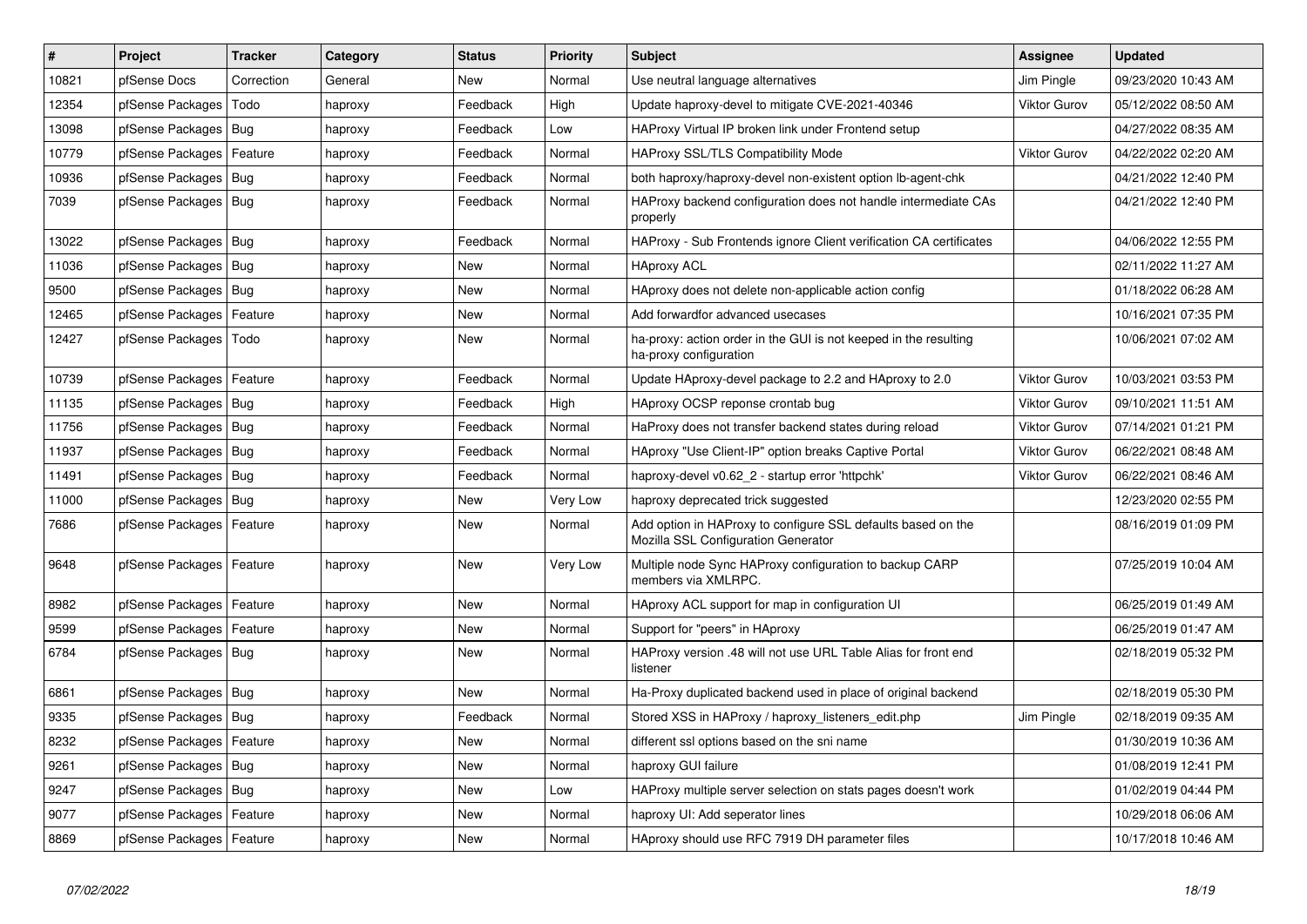| #     | Project                    | <b>Tracker</b> | Category | <b>Status</b> | <b>Priority</b> | <b>Subject</b>                                                                                      | Assignee            | <b>Updated</b>      |
|-------|----------------------------|----------------|----------|---------------|-----------------|-----------------------------------------------------------------------------------------------------|---------------------|---------------------|
| 10821 | pfSense Docs               | Correction     | General  | <b>New</b>    | Normal          | Use neutral language alternatives                                                                   | Jim Pingle          | 09/23/2020 10:43 AM |
| 12354 | pfSense Packages           | Todo           | haproxy  | Feedback      | High            | Update haproxy-devel to mitigate CVE-2021-40346                                                     | <b>Viktor Gurov</b> | 05/12/2022 08:50 AM |
| 13098 | pfSense Packages           | Bug            | haproxy  | Feedback      | Low             | HAProxy Virtual IP broken link under Frontend setup                                                 |                     | 04/27/2022 08:35 AM |
| 10779 | pfSense Packages           | Feature        | haproxy  | Feedback      | Normal          | <b>HAProxy SSL/TLS Compatibility Mode</b>                                                           | <b>Viktor Gurov</b> | 04/22/2022 02:20 AM |
| 10936 | pfSense Packages           | Bug            | haproxy  | Feedback      | Normal          | both haproxy/haproxy-devel non-existent option lb-agent-chk                                         |                     | 04/21/2022 12:40 PM |
| 7039  | pfSense Packages   Bug     |                | haproxy  | Feedback      | Normal          | HAProxy backend configuration does not handle intermediate CAs<br>properly                          |                     | 04/21/2022 12:40 PM |
| 13022 | pfSense Packages           | Bug            | haproxy  | Feedback      | Normal          | HAProxy - Sub Frontends ignore Client verification CA certificates                                  |                     | 04/06/2022 12:55 PM |
| 11036 | pfSense Packages           | Bug            | haproxy  | New           | Normal          | <b>HAproxy ACL</b>                                                                                  |                     | 02/11/2022 11:27 AM |
| 9500  | pfSense Packages           | Bug            | haproxy  | <b>New</b>    | Normal          | HAproxy does not delete non-applicable action config                                                |                     | 01/18/2022 06:28 AM |
| 12465 | pfSense Packages           | Feature        | haproxy  | <b>New</b>    | Normal          | Add forwardfor advanced usecases                                                                    |                     | 10/16/2021 07:35 PM |
| 12427 | pfSense Packages           | Todo           | haproxy  | <b>New</b>    | Normal          | ha-proxy: action order in the GUI is not keeped in the resulting<br>ha-proxy configuration          |                     | 10/06/2021 07:02 AM |
| 10739 | pfSense Packages           | Feature        | haproxy  | Feedback      | Normal          | Update HAproxy-devel package to 2.2 and HAproxy to 2.0                                              | <b>Viktor Gurov</b> | 10/03/2021 03:53 PM |
| 11135 | pfSense Packages           | Bug            | haproxy  | Feedback      | High            | HAproxy OCSP reponse crontab bug                                                                    | <b>Viktor Gurov</b> | 09/10/2021 11:51 AM |
| 11756 | pfSense Packages           | <b>Bug</b>     | haproxy  | Feedback      | Normal          | HaProxy does not transfer backend states during reload                                              | <b>Viktor Gurov</b> | 07/14/2021 01:21 PM |
| 11937 | pfSense Packages           | <b>Bug</b>     | haproxy  | Feedback      | Normal          | HAproxy "Use Client-IP" option breaks Captive Portal                                                | <b>Viktor Gurov</b> | 06/22/2021 08:48 AM |
| 11491 | pfSense Packages           | Bug            | haproxy  | Feedback      | Normal          | haproxy-devel v0.62_2 - startup error 'httpchk'                                                     | <b>Viktor Gurov</b> | 06/22/2021 08:46 AM |
| 11000 | pfSense Packages           | Bug            | haproxy  | <b>New</b>    | Very Low        | haproxy deprecated trick suggested                                                                  |                     | 12/23/2020 02:55 PM |
| 7686  | pfSense Packages           | Feature        | haproxy  | New           | Normal          | Add option in HAProxy to configure SSL defaults based on the<br>Mozilla SSL Configuration Generator |                     | 08/16/2019 01:09 PM |
| 9648  | pfSense Packages           | Feature        | haproxy  | <b>New</b>    | Very Low        | Multiple node Sync HAProxy configuration to backup CARP<br>members via XMLRPC.                      |                     | 07/25/2019 10:04 AM |
| 8982  | pfSense Packages           | Feature        | haproxy  | <b>New</b>    | Normal          | HAproxy ACL support for map in configuration UI                                                     |                     | 06/25/2019 01:49 AM |
| 9599  | pfSense Packages           | Feature        | haproxy  | <b>New</b>    | Normal          | Support for "peers" in HAproxy                                                                      |                     | 06/25/2019 01:47 AM |
| 6784  | pfSense Packages           | Bug            | haproxy  | New           | Normal          | HAProxy version .48 will not use URL Table Alias for front end<br>listener                          |                     | 02/18/2019 05:32 PM |
| 6861  | pfSense Packages           | Bug            | haproxy  | <b>New</b>    | Normal          | Ha-Proxy duplicated backend used in place of original backend                                       |                     | 02/18/2019 05:30 PM |
| 9335  | pfSense Packages           | Bug            | haproxy  | Feedback      | Normal          | Stored XSS in HAProxy / haproxy_listeners_edit.php                                                  | Jim Pingle          | 02/18/2019 09:35 AM |
| 8232  | pfSense Packages           | Feature        | haproxy  | New           | Normal          | different ssl options based on the sni name                                                         |                     | 01/30/2019 10:36 AM |
| 9261  | pfSense Packages           | Bug            | haproxy  | New           | Normal          | haproxy GUI failure                                                                                 |                     | 01/08/2019 12:41 PM |
| 9247  | pfSense Packages           | Bug            | haproxy  | New           | Low             | HAProxy multiple server selection on stats pages doesn't work                                       |                     | 01/02/2019 04:44 PM |
| 9077  | pfSense Packages           | Feature        | haproxy  | <b>New</b>    | Normal          | haproxy UI: Add seperator lines                                                                     |                     | 10/29/2018 06:06 AM |
| 8869  | pfSense Packages   Feature |                | haproxy  | <b>New</b>    | Normal          | HAproxy should use RFC 7919 DH parameter files                                                      |                     | 10/17/2018 10:46 AM |